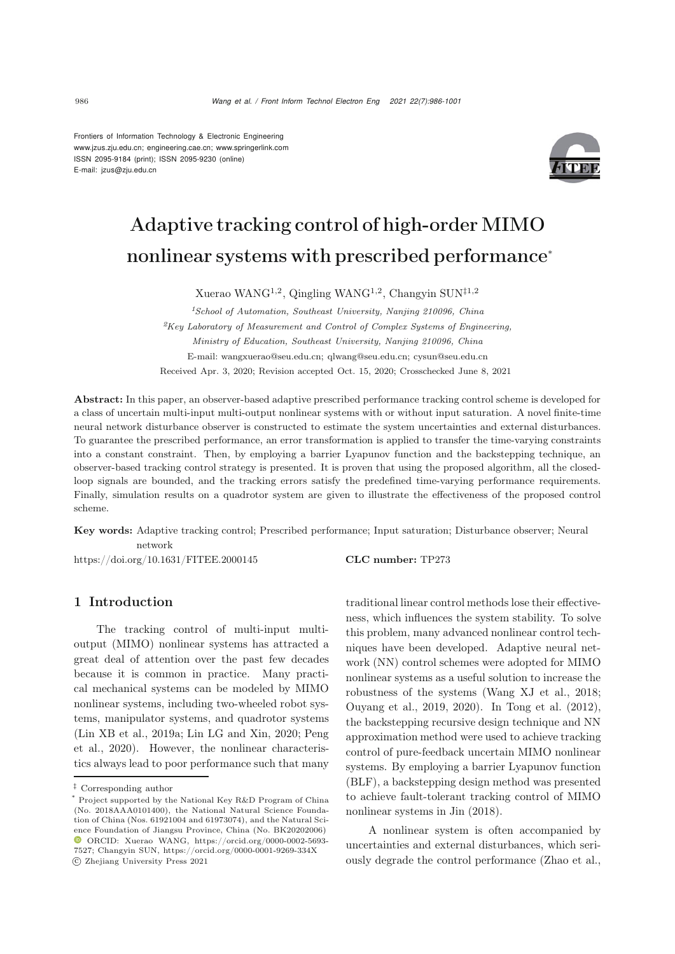Frontiers of Information Technology & Electronic Engineering [www.jzus.zju.edu.cn;](www.jzus.zju.edu.cn) [engineering.cae.cn;](engineering.cae.cn)<www.springerlink.com> ISSN 2095-9184 (print); ISSN 2095-9230 (online) E-mail: jzus@zju.edu.cn



# Adaptive tracking control of high-order MIMO nonlinear systems with prescribed performance<sup>∗</sup>

Xuerao WANG<sup>1,2</sup>, Qingling WANG<sup>1,2</sup>, Changyin SUN<sup>‡1,2</sup>

*<sup>1</sup>School of Automation, Southeast University, Nanjing 210096, China <sup>2</sup>Key Laboratory of Measurement and Control of Complex Systems of Engineering, Ministry of Education, Southeast University, Nanjing 210096, China* E-mail: wangxuerao@seu.edu.cn; qlwang@seu.edu.cn; cysun@seu.edu.cn Received Apr. 3, 2020; Revision accepted Oct. 15, 2020; Crosschecked June 8, 2021

Abstract: In this paper, an observer-based adaptive prescribed performance tracking control scheme is developed for a class of uncertain multi-input multi-output nonlinear systems with or without input saturation. A novel finite-time neural network disturbance observer is constructed to estimate the system uncertainties and external disturbances. To guarantee the prescribed performance, an error transformation is applied to transfer the time-varying constraints into a constant constraint. Then, by employing a barrier Lyapunov function and the backstepping technique, an observer-based tracking control strategy is presented. It is proven that using the proposed algorithm, all the closedloop signals are bounded, and the tracking errors satisfy the predefined time-varying performance requirements. Finally, simulation results on a quadrotor system are given to illustrate the effectiveness of the proposed control scheme.

Key words: Adaptive tracking control; Prescribed performance; Input saturation; Disturbance observer; Neural network

https://doi.org/10.1631/FITEE.2000145 CLC number: TP273

# 1 Introduction

The tracking control of multi-input multioutput (MIMO) nonlinear systems has attracted a great deal of attention over the past few decades because it is common in practice. Many practical mechanical systems can be modeled by MIMO nonlinear systems, including two-wheeled robot systems, manipulator systems, and quadrotor systems [\(Lin XB et al., 2019a](#page-14-0)[;](#page-14-2) [Lin LG and Xin](#page-14-1)[,](#page-14-2) [2020;](#page-14-1) Peng et al., [2020](#page-14-2)). However, the nonlinear characteristics always lead to poor performance such that many

traditional linear control methods lose their effectiveness, which influences the system stability. To solve this problem, many advanced nonlinear control techniques have been developed. Adaptive neural network (NN) control schemes were adopted for MIMO nonlinear systems as a useful solution to increase the robustness of the systems [\(Wang XJ et al., 2018;](#page-14-3) [Ouyang et al., 2019,](#page-14-4) [2020\)](#page-14-5). In [Tong et al.](#page-14-6) [\(2012\)](#page-14-6), the backstepping recursive design technique and NN approximation method were used to achieve tracking control of pure-feedback uncertain MIMO nonlinear systems. By employing a barrier Lyapunov function (BLF), a backstepping design method was presented to achieve fault-tolerant tracking control of MIMO nonlinear systems in [Jin](#page-14-7) [\(2018\)](#page-14-7).

A nonlinear system is often accompanied by uncertainties and external disturbances, which seriously degrade the control performance [\(Zhao et al.](#page-14-8),

*<sup>‡</sup>* Corresponding author

<sup>\*</sup> Project supported by the National Key R&D Program of China (No. 2018AAA0101400), the National Natural Science Foundation of China (Nos. 61921004 and 61973074), and the Natural Science Foundation of Jiangsu Province, China (No. BK20202006)  $\bullet$  ORCID: Xuerao WANG, https://orcid.org/0000-0002-5693-7527; Changyin SUN, https://orcid.org/0000-0001-9269-334X c Zhejiang University Press 2021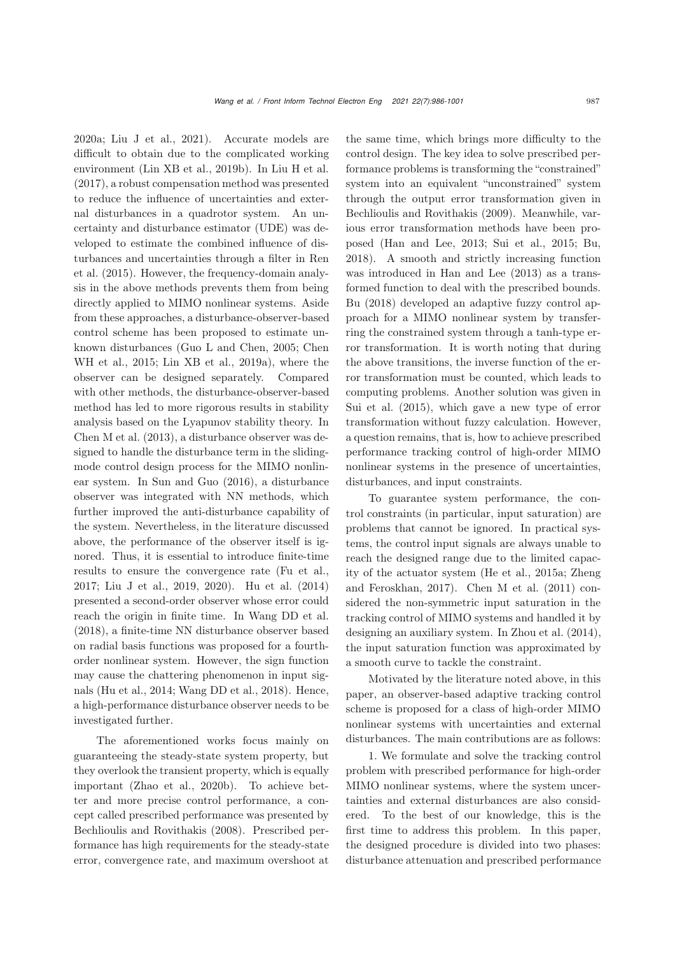[2020a](#page-14-8); [Liu J et al.](#page-14-9), [2021](#page-14-9)). Accurate models are difficult to obtain due to the complicated working environment [\(Lin XB et al.](#page-14-10), [2019b\)](#page-14-10). In [Liu H et al.](#page-14-11) [\(2017](#page-14-11)), a robust compensation method was presented to reduce the influence of uncertainties and external disturbances in a quadrotor system. An uncertainty and disturbance estimator (UDE) was developed to estimate the combined influence of disturb[ances](#page-14-12) [and](#page-14-12) [uncertainties](#page-14-12) [through](#page-14-12) [a](#page-14-12) [filter](#page-14-12) [in](#page-14-12) Ren et al. [\(2015\)](#page-14-12). However, the frequency-domain analysis in the above methods prevents them from being directly applied to MIMO nonlinear systems. Aside from these approaches, a disturbance-observer-based control scheme has been proposed to estimate unknown dis[turbances](#page-13-1) [\(Guo L and Chen](#page-13-0)[,](#page-13-1) [2005](#page-13-0)[;](#page-13-1) Chen WH et al., [2015](#page-13-1); [Lin XB et al., 2019a](#page-14-0)), where the observer can be designed separately. Compared with other methods, the disturbance-observer-based method has led to more rigorous results in stability analysis based on the Lyapunov stability theory. In [Chen M et al.](#page-13-2) [\(2013](#page-13-2)), a disturbance observer was designed to handle the disturbance term in the slidingmode control design process for the MIMO nonlinear system. In [Sun and Guo](#page-14-13) [\(2016\)](#page-14-13), a disturbance observer was integrated with NN methods, which further improved the anti-disturbance capability of the system. Nevertheless, in the literature discussed above, the performance of the observer itself is ignored. Thus, it is essential to introduce finite-time results to ensure the convergence rate [\(Fu et al.](#page-13-3), [2017](#page-13-3); [Liu J et al.](#page-14-14), [2019](#page-14-14), [2020\)](#page-14-15). [Hu et al.](#page-14-16) [\(2014](#page-14-16)) presented a second-order observer whose error could reach the origin in finite time. In [Wang DD et al.](#page-14-17) [\(2018](#page-14-17)), a finite-time NN disturbance observer based on radial basis functions was proposed for a fourthorder nonlinear system. However, the sign function may cause the chattering phenomenon in input signals [\(Hu et al., 2014](#page-14-16); [Wang DD et al., 2018\)](#page-14-17). Hence, a high-performance disturbance observer needs to be investigated further.

The aforementioned works focus mainly on guaranteeing the steady-state system property, but they overlook the transient property, which is equally important [\(Zhao et al., 2020b\)](#page-15-0). To achieve better and more precise control performance, a concept called prescribed performance was presented by [Bechlioulis and Rovithakis](#page-13-4) [\(2008\)](#page-13-4). Prescribed performance has high requirements for the steady-state error, convergence rate, and maximum overshoot at

the same time, which brings more difficulty to the control design. The key idea to solve prescribed performance problems is transforming the "constrained" system into an equivalent "unconstrained" system through the output error transformation given in [Bechlioulis and Rovithakis](#page-13-5) [\(2009\)](#page-13-5). Meanwhile, various error transformation methods have been proposed [\(Han and Lee](#page-13-6), [2013](#page-13-6); [Sui et al., 2015;](#page-14-18) [Bu](#page-13-7), [2018](#page-13-7)). A smooth and strictly increasing function was introduced in [Han and Lee](#page-13-6) [\(2013](#page-13-6)) as a transformed function to deal with the prescribed bounds. [Bu](#page-13-7) [\(2018\)](#page-13-7) developed an adaptive fuzzy control approach for a MIMO nonlinear system by transferring the constrained system through a tanh-type error transformation. It is worth noting that during the above transitions, the inverse function of the error transformation must be counted, which leads to computing problems. Another solution was given in [Sui et al.](#page-14-18) [\(2015\)](#page-14-18), which gave a new type of error transformation without fuzzy calculation. However, a question remains, that is, how to achieve prescribed performance tracking control of high-order MIMO nonlinear systems in the presence of uncertainties, disturbances, and input constraints.

To guarantee system performance, the control constraints (in particular, input saturation) are problems that cannot be ignored. In practical systems, the control input signals are always unable to reach the designed range due to the limited capacity of the actu[ator](#page-15-1) [system](#page-15-1) [\(He et al., 2015a](#page-13-8)[;](#page-15-1) Zheng and Feroskhan, [2017](#page-15-1)). [Chen M et al.](#page-13-9) [\(2011\)](#page-13-9) considered the non-symmetric input saturation in the tracking control of MIMO systems and handled it by designing an auxiliary system. In [Zhou et al.](#page-15-2) [\(2014\)](#page-15-2), the input saturation function was approximated by a smooth curve to tackle the constraint.

Motivated by the literature noted above, in this paper, an observer-based adaptive tracking control scheme is proposed for a class of high-order MIMO nonlinear systems with uncertainties and external disturbances. The main contributions are as follows:

1. We formulate and solve the tracking control problem with prescribed performance for high-order MIMO nonlinear systems, where the system uncertainties and external disturbances are also considered. To the best of our knowledge, this is the first time to address this problem. In this paper, the designed procedure is divided into two phases: disturbance attenuation and prescribed performance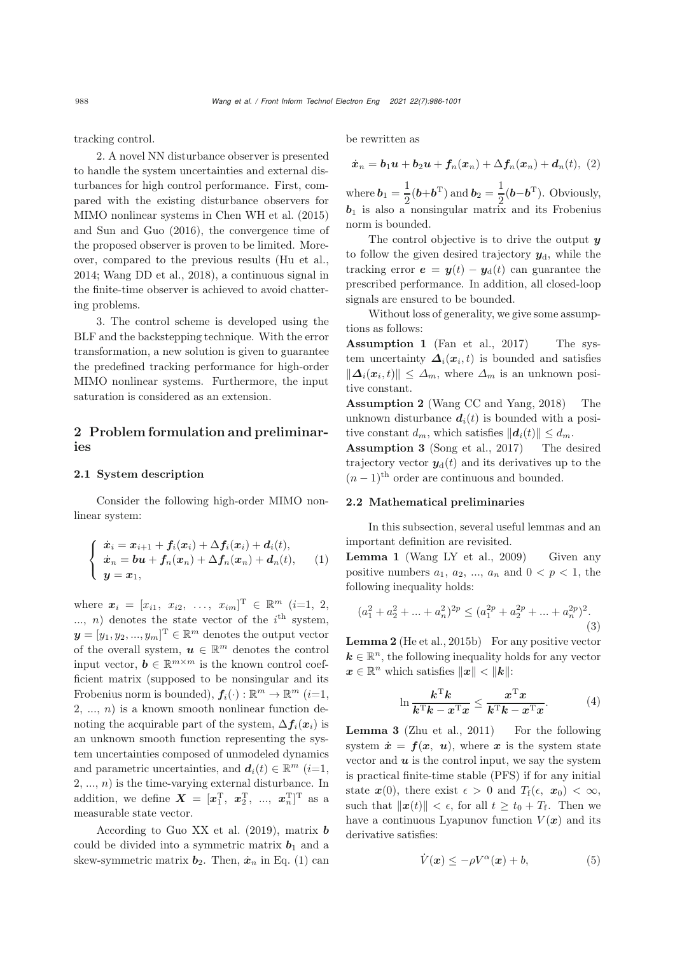tracking control.

2. A novel NN disturbance observer is presented to handle the system uncertainties and external disturbances for high control performance. First, compared with the existing disturbance observers for MIMO nonlinear systems in [Chen WH et al.](#page-13-1) [\(2015](#page-13-1)) and [Sun and Guo](#page-14-13) [\(2016](#page-14-13)), the convergence time of the proposed observer is proven to be limited. Moreover, compared to the previous results [\(Hu et al.](#page-14-16), [2014](#page-14-16); [Wang DD et al., 2018](#page-14-17)), a continuous signal in the finite-time observer is achieved to avoid chattering problems.

3. The control scheme is developed using the BLF and the backstepping technique. With the error transformation, a new solution is given to guarantee the predefined tracking performance for high-order MIMO nonlinear systems. Furthermore, the input saturation is considered as an extension.

# <span id="page-2-1"></span>2 Problem formulation and preliminaries

### 2.1 System description

Consider the following high-order MIMO nonlinear system:

<span id="page-2-0"></span>
$$
\begin{cases}\n\dot{x}_i = x_{i+1} + f_i(x_i) + \Delta f_i(x_i) + d_i(t), \\
\dot{x}_n = \boldsymbol{b}\boldsymbol{u} + f_n(x_n) + \Delta f_n(x_n) + d_n(t), \\
y = x_1,\n\end{cases}
$$
\n(1)

where  $\mathbf{x}_i = [x_{i1}, x_{i2}, \dots, x_{im}]^{\mathrm{T}} \in \mathbb{R}^m$  (*i*=1, 2, ..., *n*) denotes the state vector of the  $i<sup>th</sup>$  system,  $\boldsymbol{y} = [y_1, y_2, ..., y_m]^{\mathrm{T}} \in \mathbb{R}^m$  denotes the output vector of the overall system,  $u \in \mathbb{R}^m$  denotes the control input vector,  $\mathbf{b} \in \mathbb{R}^{m \times m}$  is the known control coefficient matrix (supposed to be nonsingular and its Frobenius norm is bounded),  $f_i(\cdot) : \mathbb{R}^m \to \mathbb{R}^m$  (*i*=1,  $2, \ldots, n$  is a known smooth nonlinear function denoting the acquirable part of the system,  $\Delta f_i(x_i)$  is an unknown smooth function representing the system uncertainties composed of unmodeled dynamics and parametric uncertainties, and  $d_i(t) \in \mathbb{R}^m$  (i=1,  $2, ..., n$ ) is the time-varying external disturbance. In addition, we define  $\boldsymbol{X} = [\boldsymbol{x}_1^{\mathrm{T}}, \ \boldsymbol{x}_2^{\mathrm{T}}, \ \ldots, \ \boldsymbol{x}_n^{\mathrm{T}}]^{\mathrm{T}}$  as a measurable state vector.

According to [Guo XX et al.](#page-13-10) [\(2019](#page-13-10)), matrix *b* could be divided into a symmetric matrix  $\mathbf{b}_1$  and a skew-symmetric matrix  $b_2$ . Then,  $\dot{x}_n$  in Eq. [\(1\)](#page-2-0) can

be rewritten as

$$
\dot{\boldsymbol{x}}_n = \boldsymbol{b}_1 \boldsymbol{u} + \boldsymbol{b}_2 \boldsymbol{u} + \boldsymbol{f}_n(\boldsymbol{x}_n) + \Delta \boldsymbol{f}_n(\boldsymbol{x}_n) + \boldsymbol{d}_n(t), \ (2)
$$

where  $\boldsymbol{b}_1 = \frac{1}{2}(\boldsymbol{b} + \boldsymbol{b}^T)$  and  $\boldsymbol{b}_2 = \frac{1}{2}(\boldsymbol{b} - \boldsymbol{b}^T)$ . Obviously, *b*<sup>1</sup> is also a nonsingular matrix and its Frobenius norm is bounded.

The control objective is to drive the output *y* to follow the given desired trajectory  $y_{d}$ , while the tracking error  $e = y(t) - y_d(t)$  can guarantee the prescribed performance. In addition, all closed-loop signals are ensured to be bounded.

Without loss of generality, we give some assumptions as follows:

Assumption 1 [\(Fan et al., 2017\)](#page-13-11) The system uncertainty  $\Delta_i(x_i, t)$  is bounded and satisfies  $\|\mathbf{\Delta}_i(\mathbf{x}_i,t)\| \leq \Delta_m$ , where  $\Delta_m$  is an unknown positive constant.

Assumption 2 [\(Wang CC and Yang](#page-14-19), [2018](#page-14-19)) The unknown disturbance  $d_i(t)$  is bounded with a positive constant  $d_m$ , which satisfies  $||\boldsymbol{d}_i(t)|| \leq d_m$ .

Assumption 3 [\(Song et al., 2017\)](#page-14-20) The desired trajectory vector  $y_d(t)$  and its derivatives up to the  $(n-1)$ <sup>th</sup> order are continuous and bounded.

## 2.2 Mathematical preliminaries

In this subsection, several useful lemmas and an important definition are revisited.

Lemma 1 [\(Wang LY et al., 2009\)](#page-14-21) Given any positive numbers  $a_1, a_2, ..., a_n$  and  $0 < p < 1$ , the following inequality holds:

$$
(a_1^2 + a_2^2 + \dots + a_n^2)^{2p} \le (a_1^{2p} + a_2^{2p} + \dots + a_n^{2p})^2.
$$
\n(3)

**Lemma 2** [\(He et al., 2015b](#page-14-22)) For any positive vector  $k \in \mathbb{R}^n$ , the following inequality holds for any vector  $x \in \mathbb{R}^n$  which satisfies  $||x|| < ||k||$ :

$$
\ln \frac{k^{\mathrm{T}} k}{k^{\mathrm{T}} k - x^{\mathrm{T}} x} \le \frac{x^{\mathrm{T}} x}{k^{\mathrm{T}} k - x^{\mathrm{T}} x}.
$$
 (4)

Lemma 3 [\(Zhu et al.](#page-15-3), [2011](#page-15-3)) For the following system  $\dot{x} = f(x, u)$ , where x is the system state vector and  $u$  is the control input, we say the system is practical finite-time stable (PFS) if for any initial state  $\mathbf{x}(0)$ , there exist  $\epsilon > 0$  and  $T_f(\epsilon, x_0) < \infty$ , such that  $\|\boldsymbol{x}(t)\| < \epsilon$ , for all  $t \geq t_0 + T_f$ . Then we have a continuous Lyapunov function  $V(x)$  and its derivative satisfies:

$$
\dot{V}(\boldsymbol{x}) \le -\rho V^{\alpha}(\boldsymbol{x}) + b,\tag{5}
$$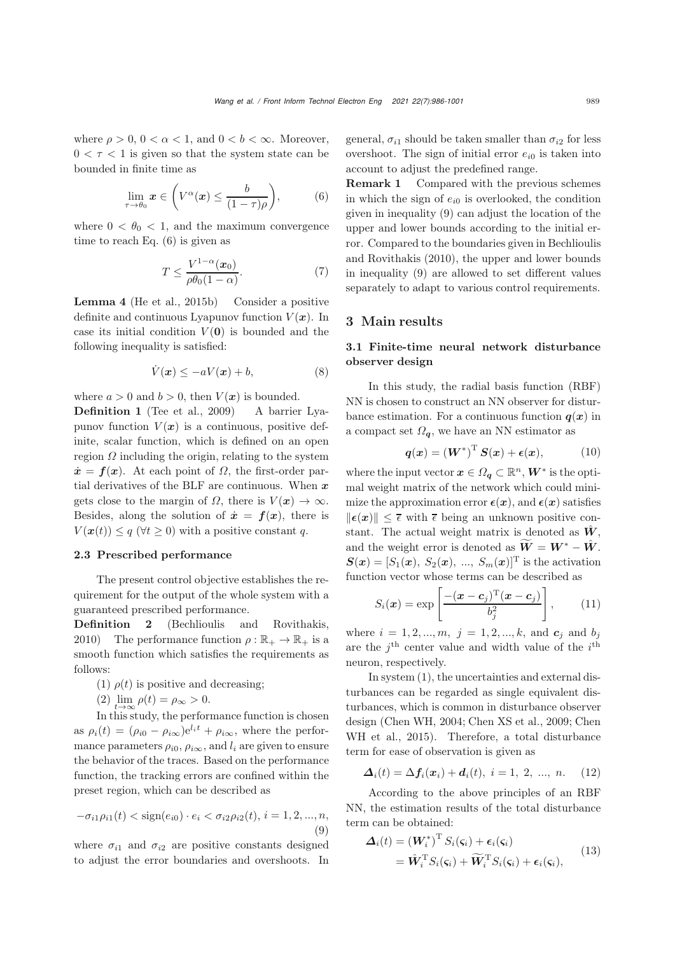where  $\rho > 0$ ,  $0 < \alpha < 1$ , and  $0 < b < \infty$ . Moreover,  $0 < \tau < 1$  is given so that the system state can be bounded in finite time as

<span id="page-3-0"></span>
$$
\lim_{\tau \to \theta_0} \boldsymbol{x} \in \left( V^{\alpha}(\boldsymbol{x}) \leq \frac{b}{(1-\tau)\rho} \right), \tag{6}
$$

where  $0 < \theta_0 < 1$ , and the maximum convergence time to reach Eq. [\(6\)](#page-3-0) is given as

$$
T \le \frac{V^{1-\alpha}(\boldsymbol{x}_0)}{\rho \theta_0 (1-\alpha)}.
$$
\n<sup>(7)</sup>

Lemma 4 [\(He et al.](#page-14-22), [2015b\)](#page-14-22) Consider a positive definite and continuous Lyapunov function  $V(\boldsymbol{x})$ . In case its initial condition  $V(0)$  is bounded and the following inequality is satisfied:

$$
\dot{V}(\boldsymbol{x}) \le -aV(\boldsymbol{x}) + b,\tag{8}
$$

where  $a > 0$  and  $b > 0$ , then  $V(x)$  is bounded.

Definition 1 [\(Tee et al.](#page-14-23), [2009\)](#page-14-23) A barrier Lyapunov function  $V(x)$  is a continuous, positive definite, scalar function, which is defined on an open region  $\Omega$  including the origin, relating to the system  $\dot{x} = f(x)$ . At each point of  $\Omega$ , the first-order partial derivatives of the BLF are continuous. When *x* gets close to the margin of  $\Omega$ , there is  $V(\mathbf{x}) \to \infty$ . Besides, along the solution of  $\dot{x} = f(x)$ , there is  $V(\boldsymbol{x}(t)) \leq q \ (\forall t \geq 0)$  with a positive constant q.

#### 2.3 Prescribed performance

The present control objective establishes the requirement for the output of the whole system with a guaranteed prescribed performance.

Definition 2 [\(Bechlioulis and Rovithakis,](#page-13-12) [2010](#page-13-12)) The performance function  $\rho : \mathbb{R}_+ \to \mathbb{R}_+$  is a smooth function which satisfies the requirements as follows:

(1)  $\rho(t)$  is positive and decreasing;

$$
(2) \lim_{t \to \infty} \rho(t) = \rho_{\infty} > 0
$$

(2)  $\lim_{t\to\infty} \rho(t) = \rho_\infty > 0.$ <br>In this study, the performance function is chosen as  $\rho_i(t)=(\rho_{i0} - \rho_{i\infty})e^{l_i t} + \rho_{i\infty}$ , where the performance parameters  $\rho_{i0}$ ,  $\rho_{i\infty}$ , and  $l_i$  are given to ensure the behavior of the traces. Based on the performance function, the tracking errors are confined within the preset region, which can be described as

<span id="page-3-1"></span>
$$
-\sigma_{i1}\rho_{i1}(t) < \text{sign}(e_{i0}) \cdot e_i < \sigma_{i2}\rho_{i2}(t), \, i = 1, 2, \dots, n,\tag{9}
$$

where  $\sigma_{i1}$  and  $\sigma_{i2}$  are positive constants designed to adjust the error boundaries and overshoots. In

general,  $\sigma_{i1}$  should be taken smaller than  $\sigma_{i2}$  for less overshoot. The sign of initial error  $e_{i0}$  is taken into account to adjust the predefined range.

Remark 1 Compared with the previous schemes in which the sign of  $e_{i0}$  is overlooked, the condition given in inequality [\(9\)](#page-3-1) can adjust the location of the upper and lower bounds according to the initial error. Compared [to](#page-13-12) [the](#page-13-12) [boundaries](#page-13-12) [given](#page-13-12) [in](#page-13-12) Bechlioulis and Rovithakis [\(2010](#page-13-12)), the upper and lower bounds in inequality [\(9\)](#page-3-1) are allowed to set different values separately to adapt to various control requirements.

## <span id="page-3-3"></span><span id="page-3-2"></span>3 Main results

## 3.1 Finite-time neural network disturbance observer design

In this study, the radial basis function (RBF) NN is chosen to construct an NN observer for disturbance estimation. For a continuous function  $q(x)$  in a compact set  $\Omega_{q}$ , we have an NN estimator as

$$
\boldsymbol{q}(\boldsymbol{x}) = \left(\boldsymbol{W}^*\right)^{\mathrm{T}} \boldsymbol{S}(\boldsymbol{x}) + \boldsymbol{\epsilon}(\boldsymbol{x}), \tag{10}
$$

where the input vector  $x \in \Omega_q \subset \mathbb{R}^n$ ,  $W^*$  is the optimal weight matrix of the network which could minimize the approximation error  $\epsilon(x)$ , and  $\epsilon(x)$  satisfies  $\|\epsilon(x)\| < \overline{\epsilon}$  with  $\overline{\epsilon}$  being an unknown positive constant. The actual weight matrix is denoted as  $\hat{W}$ . and the weight error is denoted as  $\widetilde{W} = W^* - \hat{W}$ .  $S(x)=[S_1(x), S_2(x), ..., S_m(x)]^T$  is the activation function vector whose terms can be described as

$$
S_i(\boldsymbol{x}) = \exp\left[\frac{-(\boldsymbol{x}-\boldsymbol{c}_j)^{\mathrm{T}}(\boldsymbol{x}-\boldsymbol{c}_j)}{b_j^2}\right],\qquad(11)
$$

where  $i = 1, 2, ..., m, j = 1, 2, ..., k$ , and  $c_j$  and  $b_j$ are the  $j^{\text{th}}$  center value and width value of the  $i^{\text{th}}$ neuron, respectively.

In system [\(1\)](#page-2-0), the uncertainties and external disturbances can be regarded as single equivalent disturbances, which is common in disturbance observer design [\(Chen WH](#page-13-13)[,](#page-13-1) [2004](#page-13-13)[;](#page-13-1) [Chen XS et al.](#page-13-14)[,](#page-13-1) [2009](#page-13-14)[;](#page-13-1) Chen WH et al., [2015\)](#page-13-1). Therefore, a total disturbance term for ease of observation is given as

$$
\Delta_i(t) = \Delta f_i(x_i) + d_i(t), \ i = 1, 2, ..., n. \quad (12)
$$

According to the above principles of an RBF NN, the estimation results of the total disturbance term can be obtained:

$$
\Delta_i(t) = (W_i^*)^{\mathrm{T}} S_i(\varsigma_i) + \epsilon_i(\varsigma_i)
$$
  
=  $\hat{W}_i^{\mathrm{T}} S_i(\varsigma_i) + \widetilde{W}_i^{\mathrm{T}} S_i(\varsigma_i) + \epsilon_i(\varsigma_i),$  (13)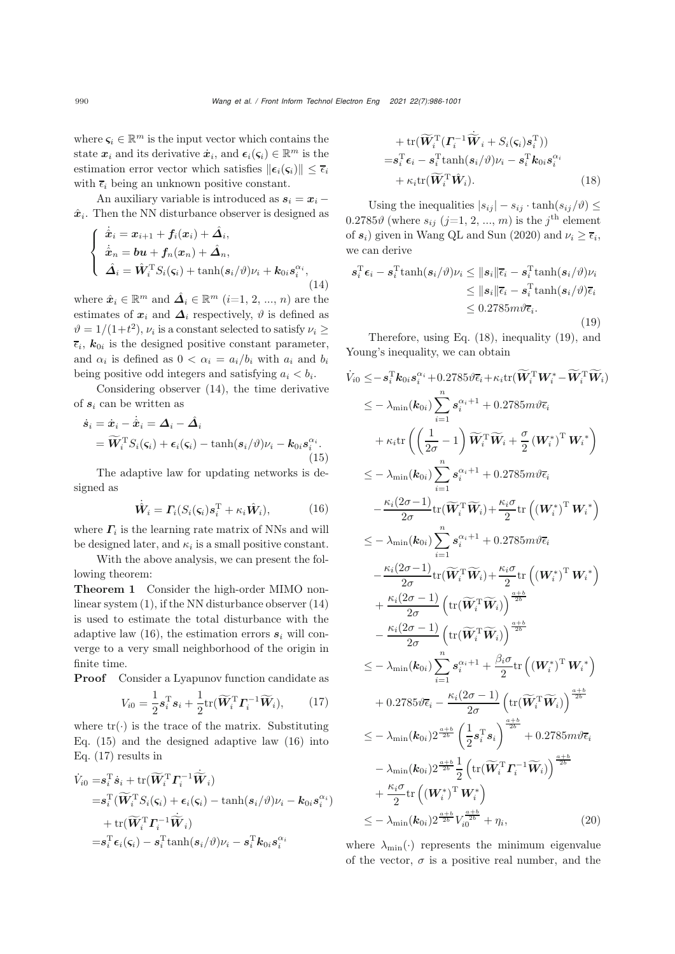where  $\varsigma_i \in \mathbb{R}^m$  is the input vector which contains the state  $x_i$  and its derivative  $\dot{x}_i$ , and  $\epsilon_i(\zeta_i) \in \mathbb{R}^m$  is the estimation error vector which satisfies  $||\boldsymbol{\epsilon}_i(\boldsymbol{\varsigma}_i)|| \leq \bar{\epsilon}_i$ with  $\bar{\epsilon}_i$  being an unknown positive constant.

An auxiliary variable is introduced as  $s_i = x_i$  –  $\hat{x}_i$ . Then the NN disturbance observer is designed as

<span id="page-4-0"></span>
$$
\begin{cases} \dot{\hat{\mathbf{x}}}_i = \mathbf{x}_{i+1} + f_i(\mathbf{x}_i) + \hat{\mathbf{\Delta}}_i, \\ \dot{\hat{\mathbf{x}}}_n = \mathbf{b}\mathbf{u} + f_n(\mathbf{x}_n) + \hat{\mathbf{\Delta}}_n, \\ \hat{\mathbf{\Delta}}_i = \hat{\mathbf{W}}_i^{\mathrm{T}} S_i(\mathbf{s}_i) + \tanh(\mathbf{s}_i/\vartheta)\nu_i + \mathbf{k}_{0i}\mathbf{s}_i^{\alpha_i}, \end{cases} (14)
$$

where  $\hat{x}_i \in \mathbb{R}^m$  and  $\hat{\mathbf{\Delta}}_i \in \mathbb{R}^m$   $(i=1, 2, ..., n)$  are the estimates of  $x_i$  and  $\Delta_i$  respectively,  $\vartheta$  is defined as  $\vartheta = 1/(1+t^2)$ ,  $\nu_i$  is a constant selected to satisfy  $\nu_i \geq$  $\overline{\epsilon}_i$ ,  $k_{0i}$  is the designed positive constant parameter, and  $\alpha_i$  is defined as  $0 < \alpha_i = a_i/b_i$  with  $a_i$  and  $b_i$ being positive odd integers and satisfying  $a_i < b_i$ .

Considering observer [\(14\)](#page-4-0), the time derivative of *s*<sup>i</sup> can be written as

<span id="page-4-2"></span>
$$
\dot{\mathbf{s}}_i = \dot{\mathbf{x}}_i - \dot{\hat{\mathbf{x}}}_i = \Delta_i - \hat{\Delta}_i
$$
  
=  $\widetilde{\mathbf{W}}_i^{\mathrm{T}} S_i(\varsigma_i) + \epsilon_i(\varsigma_i) - \tanh(s_i/\vartheta)\nu_i - k_{0i}s_i^{\alpha_i}.$  (15)

The adaptive law for updating networks is designed as

<span id="page-4-1"></span>
$$
\dot{\hat{W}}_i = \Gamma_i(S_i(\varsigma_i)s_i^{\mathrm{T}} + \kappa_i \hat{W}_i), \tag{16}
$$

where  $\Gamma_i$  is the learning rate matrix of NNs and will be designed later, and  $\kappa_i$  is a small positive constant.

With the above analysis, we can present the following theorem:

Theorem 1 Consider the high-order MIMO nonlinear system [\(1\)](#page-2-0), if the NN disturbance observer [\(14\)](#page-4-0) is used to estimate the total disturbance with the adaptive law  $(16)$ , the estimation errors  $s_i$  will converge to a very small neighborhood of the origin in finite time.

Proof Consider a Lyapunov function candidate as

<span id="page-4-3"></span>
$$
V_{i0} = \frac{1}{2} \boldsymbol{s}_i^{\mathrm{T}} \boldsymbol{s}_i + \frac{1}{2} \mathrm{tr}(\widetilde{\boldsymbol{W}}_i^{\mathrm{T}} \boldsymbol{\varGamma}_i^{-1} \widetilde{\boldsymbol{W}}_i), \qquad (17)
$$

where  $tr(\cdot)$  is the trace of the matrix. Substituting Eq. [\(15\)](#page-4-2) and the designed adaptive law [\(16\)](#page-4-1) into Eq. [\(17\)](#page-4-3) results in

$$
\begin{aligned} \dot{V}_{i0}=&\boldsymbol{s}_{i}^{\mathrm{T}}\dot{\boldsymbol{s}}_{i}+\mathrm{tr}(\widetilde{\boldsymbol{W}}_{i}^{\mathrm{T}}\boldsymbol{\varGamma}_{i}^{-1}\dot{\widetilde{\boldsymbol{W}}}_{i})\\ =&\boldsymbol{s}_{i}^{\mathrm{T}}(\widetilde{\boldsymbol{W}}_{i}^{\mathrm{T}}S_{i}(\boldsymbol{\varsigma}_{i})+\boldsymbol{\epsilon}_{i}(\boldsymbol{\varsigma}_{i})-\tanh(\boldsymbol{s}_{i}/\vartheta)\nu_{i}-\boldsymbol{k}_{0i}\boldsymbol{s}_{i}^{\alpha_{i}})\\ &+\mathrm{tr}(\widetilde{\boldsymbol{W}}_{i}^{\mathrm{T}}\boldsymbol{\varGamma}_{i}^{-1}\dot{\widetilde{\boldsymbol{W}}}_{i})\\ =&\boldsymbol{s}_{i}^{\mathrm{T}}\boldsymbol{\epsilon}_{i}(\boldsymbol{\varsigma}_{i})-\boldsymbol{s}_{i}^{\mathrm{T}}\mathrm{tanh}(\boldsymbol{s}_{i}/\vartheta)\nu_{i}-\boldsymbol{s}_{i}^{\mathrm{T}}\boldsymbol{k}_{0i}\boldsymbol{s}_{i}^{\alpha_{i}} \end{aligned}
$$

<span id="page-4-4"></span>+ tr(
$$
\widetilde{W}_i^{\mathrm{T}} ( \Gamma_i^{-1} \dot{\widetilde{W}}_i + S_i(\varsigma_i) s_i^{\mathrm{T}} ) )
$$
  
\n= $\mathbf{s}_i^{\mathrm{T}} \boldsymbol{\epsilon}_i - \mathbf{s}_i^{\mathrm{T}} \tanh(s_i/\vartheta) \nu_i - \mathbf{s}_i^{\mathrm{T}} \boldsymbol{k}_{0i} \mathbf{s}_i^{\alpha_i}$   
\n+  $\kappa_i \text{tr}(\widetilde{W}_i^{\mathrm{T}} \hat{W}_i)$ . (18)

Using the inequalities  $|s_{ij}| - s_{ij} \cdot \tanh(s_{ij}/\theta) \leq$  $0.2785\vartheta$  (where  $s_{ij}$  (j=1, 2, ..., m) is the j<sup>th</sup> element of  $s_i$ ) given in [Wang QL and Sun](#page-14-24) [\(2020](#page-14-24)) and  $\nu_i > \bar{\epsilon}_i$ , we can derive

<span id="page-4-5"></span>
$$
s_i^{\mathrm{T}} \epsilon_i - s_i^{\mathrm{T}} \tanh(s_i/\vartheta) \nu_i \leq ||s_i|| \overline{\epsilon}_i - s_i^{\mathrm{T}} \tanh(s_i/\vartheta) \nu_i
$$
  
\n
$$
\leq ||s_i|| \overline{\epsilon}_i - s_i^{\mathrm{T}} \tanh(s_i/\vartheta) \overline{\epsilon}_i
$$
  
\n
$$
\leq 0.2785 m \vartheta \overline{\epsilon}_i.
$$
\n(19)

Therefore, using Eq. [\(18\)](#page-4-4), inequality [\(19\)](#page-4-5), and Young's inequality, we can obtain

$$
\dot{V}_{i0} \leq -s_{i}^{\mathrm{T}}k_{0i}s_{i}^{\alpha_{i}}+0.2785\vartheta\bar{\epsilon}_{i}+\kappa_{i}\mathrm{tr}(\widetilde{W}_{i}^{\mathrm{T}}W_{i}^{*}-\widetilde{W}_{i}^{\mathrm{T}}\widetilde{W}_{i})
$$
\n
$$
\leq -\lambda_{\min}(\mathbf{k}_{0i})\sum_{i=1}^{n}s_{i}^{\alpha_{i}+1}+0.2785m\vartheta\bar{\epsilon}_{i}
$$
\n
$$
+\kappa_{i}\mathrm{tr}\left(\left(\frac{1}{2\sigma}-1\right)\widetilde{W}_{i}^{\mathrm{T}}\widetilde{W}_{i}+\frac{\sigma}{2}\left(W_{i}^{*}\right)^{\mathrm{T}}W_{i}^{*}\right)
$$
\n
$$
\leq -\lambda_{\min}(\mathbf{k}_{0i})\sum_{i=1}^{n}s_{i}^{\alpha_{i}+1}+0.2785m\vartheta\bar{\epsilon}_{i}
$$
\n
$$
-\frac{\kappa_{i}(2\sigma-1)}{2\sigma}\mathrm{tr}(\widetilde{W}_{i}^{\mathrm{T}}\widetilde{W}_{i})+\frac{\kappa_{i}\sigma}{2}\mathrm{tr}\left((W_{i}^{*})^{\mathrm{T}}W_{i}^{*}\right)
$$
\n
$$
\leq -\lambda_{\min}(\mathbf{k}_{0i})\sum_{i=1}^{n}s_{i}^{\alpha_{i}+1}+0.2785m\vartheta\bar{\epsilon}_{i}
$$
\n
$$
-\frac{\kappa_{i}(2\sigma-1)}{2\sigma}\mathrm{tr}(\widetilde{W}_{i}^{\mathrm{T}}\widetilde{W}_{i})+\frac{\kappa_{i}\sigma}{2}\mathrm{tr}\left((W_{i}^{*})^{\mathrm{T}}W_{i}^{*}\right)
$$
\n
$$
+\frac{\kappa_{i}(2\sigma-1)}{2\sigma}\left(\mathrm{tr}(\widetilde{W}_{i}^{\mathrm{T}}\widetilde{W}_{i})\right)^{\frac{\alpha+b}{2b}}
$$
\n
$$
-\frac{\kappa_{i}(2\sigma-1)}{2\sigma}\left(\mathrm{tr}(\widetilde{W}_{i}^{\mathrm{T}}\widetilde{W}_{i})\right)^{\frac{\alpha+b}{2b}}
$$
\n
$$
\leq -\lambda_{\min}(\mathbf{k}_{0i})\sum_{i=1}^{n}s_{i}^{\alpha
$$

<span id="page-4-6"></span>where  $\lambda_{\min}(\cdot)$  represents the minimum eigenvalue of the vector,  $\sigma$  is a positive real number, and the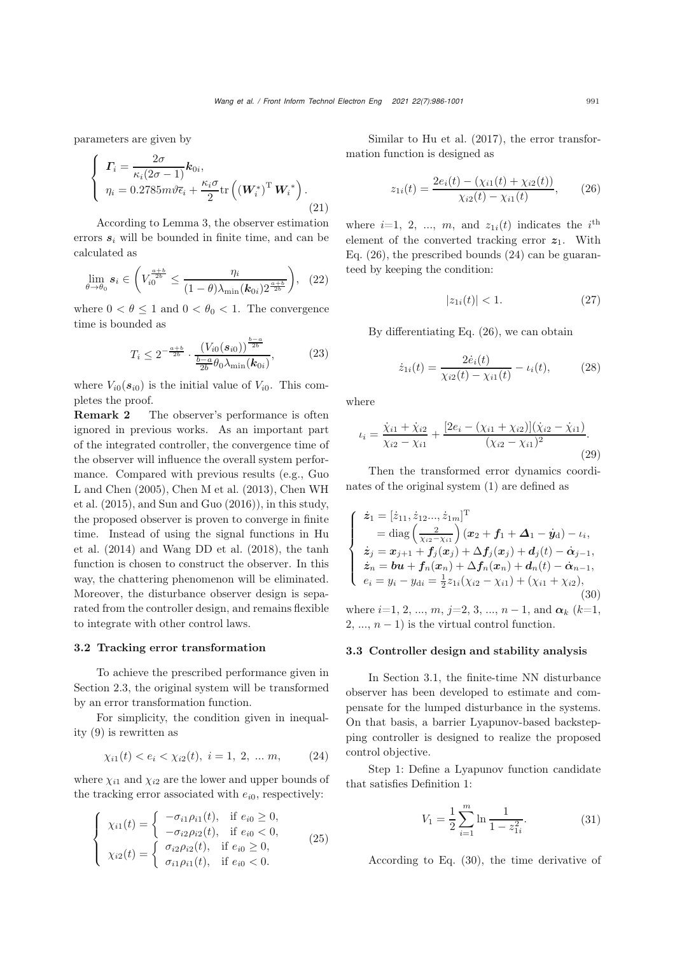parameters are given by

$$
\begin{cases}\n\boldsymbol{\Gamma}_{i} = \frac{2\sigma}{\kappa_{i}(2\sigma - 1)} \boldsymbol{k}_{0i}, \\
\eta_{i} = 0.2785 m \vartheta \overline{\epsilon}_{i} + \frac{\kappa_{i}\sigma}{2} \text{tr}\left(\left(\boldsymbol{W}_{i}^{*}\right)^{\text{T}} \boldsymbol{W}_{i}^{*}\right).\n\end{cases}
$$
\n(21)

According to Lemma 3, the observer estimation errors  $s_i$  will be bounded in finite time, and can be calculated as

<span id="page-5-5"></span>
$$
\lim_{\theta \to \theta_0} s_i \in \left( V_{i0}^{\frac{a+b}{2b}} \le \frac{\eta_i}{(1-\theta)\lambda_{\min}(\mathbf{k}_{0i}) 2^{\frac{a+b}{2b}}} \right), (22)
$$

where  $0 < \theta \leq 1$  and  $0 < \theta_0 < 1$ . The convergence time is bounded as

$$
T_i \le 2^{-\frac{a+b}{2b}} \cdot \frac{\left(V_{i0}(s_{i0})\right)^{\frac{b-a}{2b}}}{\frac{b-a}{2b} \theta_0 \lambda_{\min}(\mathbf{k}_{0i})},\tag{23}
$$

where  $V_{i0}(s_{i0})$  is the initial value of  $V_{i0}$ . This completes the proof.

Remark 2 The observer's performance is often ignored in previous works. As an important part of the integrated controller, the convergence time of the observer will influence the overall system performance. Co[mpared](#page-13-0) [with](#page-13-0) [previous](#page-13-0) [results](#page-13-0) [\(e.g.,](#page-13-0) Guo L an[d](#page-13-1) [Chen](#page-13-1) [\(2005](#page-13-0)[\),](#page-13-1) [Chen M et al.](#page-13-2) [\(2013](#page-13-2)[\),](#page-13-1) Chen WH et al.  $(2015)$ , and [Sun and Guo](#page-14-13)  $(2016)$  $(2016)$ , in this study, the proposed observer is proven to converge in finite time. [Instead](#page-14-16) [of](#page-14-16) [using](#page-14-16) [the](#page-14-16) [signal](#page-14-16) [functions](#page-14-16) [in](#page-14-16) Hu et al. [\(2014\)](#page-14-16) and [Wang DD et al.](#page-14-17) [\(2018\)](#page-14-17), the tanh function is chosen to construct the observer. In this way, the chattering phenomenon will be eliminated. Moreover, the disturbance observer design is separated from the controller design, and remains flexible to integrate with other control laws.

#### 3.2 Tracking error transformation

To achieve the prescribed performance given in Section 2.3, the original system will be transformed by an error transformation function.

For simplicity, the condition given in inequality [\(9\)](#page-3-1) is rewritten as

<span id="page-5-1"></span>
$$
\chi_{i1}(t) < e_i < \chi_{i2}(t), \ i = 1, \ 2, \ \dots \ m, \tag{24}
$$

where  $\chi_{i1}$  and  $\chi_{i2}$  are the lower and upper bounds of the tracking error associated with  $e_{i0}$ , respectively:

$$
\begin{cases}\n\chi_{i1}(t) = \begin{cases}\n-\sigma_{i1}\rho_{i1}(t), & \text{if } e_{i0} \ge 0, \\
-\sigma_{i2}\rho_{i2}(t), & \text{if } e_{i0} < 0,\n\end{cases} \\
\chi_{i2}(t) = \begin{cases}\n\sigma_{i2}\rho_{i2}(t), & \text{if } e_{i0} \ge 0, \\
\sigma_{i1}\rho_{i1}(t), & \text{if } e_{i0} < 0.\n\end{cases}\n\end{cases}
$$
\n(25)

Similar to [Hu et al.](#page-14-25) [\(2017\)](#page-14-25), the error transformation function is designed as

<span id="page-5-0"></span>
$$
z_{1i}(t) = \frac{2e_i(t) - (\chi_{i1}(t) + \chi_{i2}(t))}{\chi_{i2}(t) - \chi_{i1}(t)},
$$
 (26)

where  $i=1, 2, ..., m$ , and  $z_{1i}(t)$  indicates the  $i<sup>th</sup>$ element of the converted tracking error  $z_1$ . With Eq. [\(26\)](#page-5-0), the prescribed bounds [\(24\)](#page-5-1) can be guaranteed by keeping the condition:

<span id="page-5-4"></span>
$$
|z_{1i}(t)| < 1. \tag{27}
$$

By differentiating Eq. [\(26\)](#page-5-0), we can obtain

$$
\dot{z}_{1i}(t) = \frac{2\dot{e}_i(t)}{\chi_{i2}(t) - \chi_{i1}(t)} - \iota_i(t), \tag{28}
$$

where

$$
t_i = \frac{\dot{\chi}_{i1} + \dot{\chi}_{i2}}{\chi_{i2} - \chi_{i1}} + \frac{[2e_i - (\chi_{i1} + \chi_{i2})](\dot{\chi}_{i2} - \dot{\chi}_{i1})}{(\chi_{i2} - \chi_{i1})^2}.
$$
\n(29)

Then the transformed error dynamics coordinates of the original system [\(1\)](#page-2-0) are defined as

<span id="page-5-2"></span>
$$
\begin{cases}\n\dot{z}_1 = [\dot{z}_{11}, \dot{z}_{12}...,\dot{z}_{1m}]^{\mathrm{T}} \\
= \text{diag}\left(\frac{2}{\chi_{i2} - \chi_{i1}}\right)(x_2 + f_1 + \Delta_1 - \dot{y}_d) - \iota_i, \\
\dot{z}_j = x_{j+1} + f_j(x_j) + \Delta f_j(x_j) + d_j(t) - \dot{\alpha}_{j-1}, \\
\dot{z}_n = \boldsymbol{b}\boldsymbol{u} + f_n(x_n) + \Delta f_n(x_n) + d_n(t) - \dot{\alpha}_{n-1}, \\
e_i = y_i - y_{di} = \frac{1}{2}z_{1i}(\chi_{i2} - \chi_{i1}) + (\chi_{i1} + \chi_{i2}),\n\end{cases} (30)
$$

where  $i=1, 2, ..., m, j=2, 3, ..., n-1$ , and  $\alpha_k$  (k=1,  $2, ..., n-1$ ) is the virtual control function.

#### <span id="page-5-6"></span>3.3 Controller design and stability analysis

In Section 3.1, the finite-time NN disturbance observer has been developed to estimate and compensate for the lumped disturbance in the systems. On that basis, a barrier Lyapunov-based backstepping controller is designed to realize the proposed control objective.

Step 1: Define a Lyapunov function candidate that satisfies Definition 1:

<span id="page-5-3"></span>
$$
V_1 = \frac{1}{2} \sum_{i=1}^{m} \ln \frac{1}{1 - z_{1i}^2}.
$$
 (31)

According to Eq. [\(30\)](#page-5-2), the time derivative of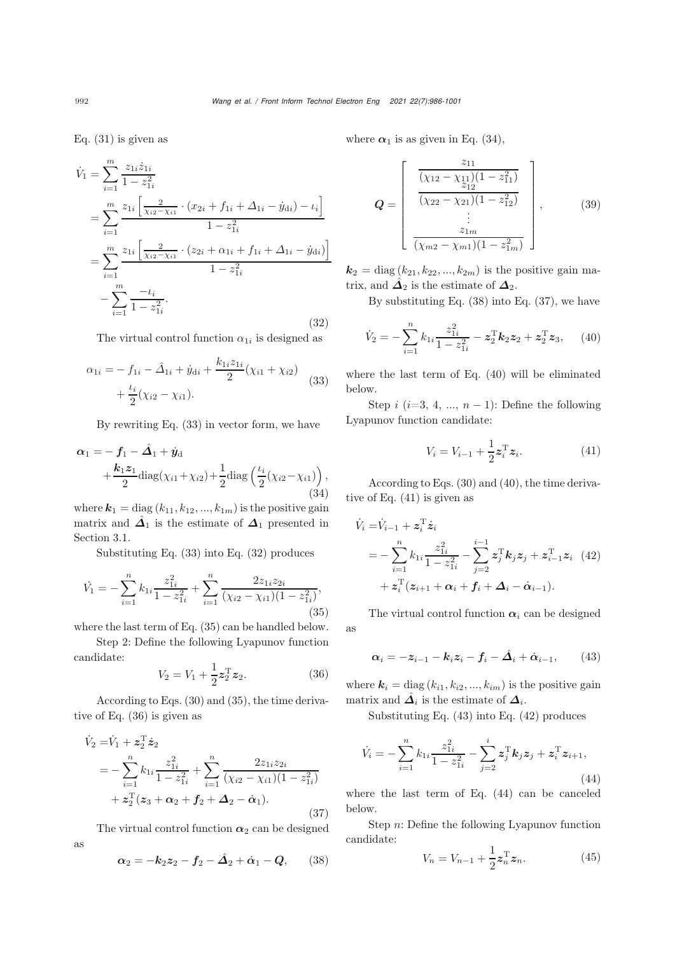Eq. [\(31\)](#page-5-3) is given as

<span id="page-6-1"></span>
$$
\dot{V}_1 = \sum_{i=1}^m \frac{z_{1i}\dot{z}_{1i}}{1 - z_{1i}^2}
$$
\n
$$
= \sum_{i=1}^m \frac{z_{1i} \left[ \frac{2}{\chi_{i2} - \chi_{i1}} \cdot (x_{2i} + f_{1i} + \Delta_{1i} - \dot{y}_{di}) - t_i \right]}{1 - z_{1i}^2}
$$
\n
$$
= \sum_{i=1}^m \frac{z_{1i} \left[ \frac{2}{\chi_{i2} - \chi_{i1}} \cdot (z_{2i} + \alpha_{1i} + f_{1i} + \Delta_{1i} - \dot{y}_{di}) \right]}{1 - z_{1i}^2}
$$
\n
$$
- \sum_{i=1}^m \frac{-t_i}{1 - z_{1i}^2}.
$$
\n(32)

The virtual control function  $\alpha_{1i}$  is designed as

<span id="page-6-0"></span>
$$
\alpha_{1i} = -f_{1i} - \hat{\Delta}_{1i} + \dot{y}_{di} + \frac{k_{1i}z_{1i}}{2}(\chi_{i1} + \chi_{i2}) + \frac{\iota_i}{2}(\chi_{i2} - \chi_{i1}).
$$
\n(33)

By rewriting Eq. [\(33\)](#page-6-0) in vector form, we have

<span id="page-6-4"></span>
$$
\alpha_1 = -f_1 - \hat{\mathbf{\Lambda}}_1 + \hat{\mathbf{y}}_d + \frac{k_1 z_1}{2} \text{diag}(\chi_{i1} + \chi_{i2}) + \frac{1}{2} \text{diag}\left(\frac{\iota_i}{2}(\chi_{i2} - \chi_{i1})\right),
$$
\n(34)

where  $\mathbf{k}_1 = \text{diag}(k_{11}, k_{12}, ..., k_{1m})$  is the positive gain matrix and  $\hat{\mathbf{\Delta}}_1$  is the estimate of  $\mathbf{\Delta}_1$  presented in Section [3.1.](#page-3-2)

Substituting Eq. [\(33\)](#page-6-0) into Eq. [\(32\)](#page-6-1) produces

<span id="page-6-2"></span>
$$
\dot{V}_1 = -\sum_{i=1}^n k_{1i} \frac{z_{1i}^2}{1 - z_{1i}^2} + \sum_{i=1}^n \frac{2z_{1i}z_{2i}}{(\chi_{i2} - \chi_{i1})(1 - z_{1i}^2)},\tag{35}
$$

where the last term of Eq. [\(35\)](#page-6-2) can be handled below.

Step 2: Define the following Lyapunov function candidate:

<span id="page-6-3"></span>
$$
V_2 = V_1 + \frac{1}{2} z_2^{\mathrm{T}} z_2.
$$
 (36)

According to Eqs. [\(30\)](#page-5-2) and [\(35\)](#page-6-2), the time derivative of Eq. [\(36\)](#page-6-3) is given as

<span id="page-6-6"></span>
$$
\dot{V}_2 = \dot{V}_1 + z_2^{\mathrm{T}} \dot{z}_2 \n= - \sum_{i=1}^n k_{1i} \frac{z_{1i}^2}{1 - z_{1i}^2} + \sum_{i=1}^n \frac{2z_{1i}z_{2i}}{(\chi_{i2} - \chi_{i1})(1 - z_{1i}^2)} \n+ z_2^{\mathrm{T}}(z_3 + \alpha_2 + f_2 + \Delta_2 - \dot{\alpha}_1).
$$
\n(37)

The virtual control function  $\alpha_2$  can be designed

as

<span id="page-6-5"></span>
$$
\boldsymbol{\alpha}_2 = -\boldsymbol{k}_2 \boldsymbol{z}_2 - \boldsymbol{f}_2 - \hat{\boldsymbol{\Delta}}_2 + \dot{\boldsymbol{\alpha}}_1 - \boldsymbol{Q},\qquad(38)
$$

where  $\alpha_1$  is as given in Eq. [\(34\)](#page-6-4),

$$
\mathbf{Q} = \begin{bmatrix} z_{11} \\ \frac{(\chi_{12} - \chi_{11})(1 - z_{11}^2)}{(\chi_{22} - \chi_{21})(1 - z_{12}^2)} \\ \vdots \\ \frac{z_{1m}}{(\chi_{m2} - \chi_{m1})(1 - z_{1m}^2)} \end{bmatrix},
$$
(39)

 $\mathbf{k}_2 = \text{diag}(k_{21}, k_{22}, ..., k_{2m})$  is the positive gain matrix, and  $\hat{\mathbf{\Delta}}_2$  is the estimate of  $\mathbf{\Delta}_2$ .

By substituting Eq. [\(38\)](#page-6-5) into Eq. [\(37\)](#page-6-6), we have

<span id="page-6-7"></span>
$$
\dot{V}_2 = -\sum_{i=1}^n k_{1i} \frac{z_{1i}^2}{1 - z_{1i}^2} - \mathbf{z}_2^{\mathrm{T}} \mathbf{k}_2 \mathbf{z}_2 + \mathbf{z}_2^{\mathrm{T}} \mathbf{z}_3, \qquad (40)
$$

where the last term of Eq. [\(40\)](#page-6-7) will be eliminated below.

Step i (i=3, 4, ...,  $n-1$ ): Define the following Lyapunov function candidate:

<span id="page-6-8"></span>
$$
V_i = V_{i-1} + \frac{1}{2} \mathbf{z}_i^{\mathrm{T}} \mathbf{z}_i.
$$
 (41)

According to Eqs. [\(30\)](#page-5-2) and [\(40\)](#page-6-7), the time derivative of Eq. [\(41\)](#page-6-8) is given as

<span id="page-6-10"></span>
$$
\dot{V}_i = \dot{V}_{i-1} + z_i^{\mathrm{T}} \dot{z}_i \n= -\sum_{i=1}^n k_{1i} \frac{z_{1i}^2}{1 - z_{1i}^2} - \sum_{j=2}^{i-1} z_j^{\mathrm{T}} k_j z_j + z_{i-1}^{\mathrm{T}} z_i \tag{42} \n+ z_i^{\mathrm{T}} (z_{i+1} + \alpha_i + f_i + \Delta_i - \dot{\alpha}_{i-1}).
$$

The virtual control function  $\alpha_i$  can be designed as

<span id="page-6-9"></span>
$$
\alpha_i = -z_{i-1} - k_i z_i - f_i - \hat{\Delta}_i + \dot{\alpha}_{i-1}, \qquad (43)
$$

where  $\mathbf{k}_i = \text{diag}(k_{i1}, k_{i2}, ..., k_{im})$  is the positive gain matrix and  $\hat{\mathbf{\Delta}}_i$  is the estimate of  $\mathbf{\Delta}_i$ .

Substituting Eq. [\(43\)](#page-6-9) into Eq. [\(42\)](#page-6-10) produces

<span id="page-6-11"></span>
$$
\dot{V}_i = -\sum_{i=1}^n k_{1i} \frac{z_{1i}^2}{1 - z_{1i}^2} - \sum_{j=2}^i z_j^{\mathrm{T}} k_j z_j + z_i^{\mathrm{T}} z_{i+1},\tag{44}
$$

where the last term of Eq. [\(44\)](#page-6-11) can be canceled below.

Step n: Define the following Lyapunov function candidate:

$$
V_n = V_{n-1} + \frac{1}{2} \mathbf{z}_n^{\mathrm{T}} \mathbf{z}_n.
$$
 (45)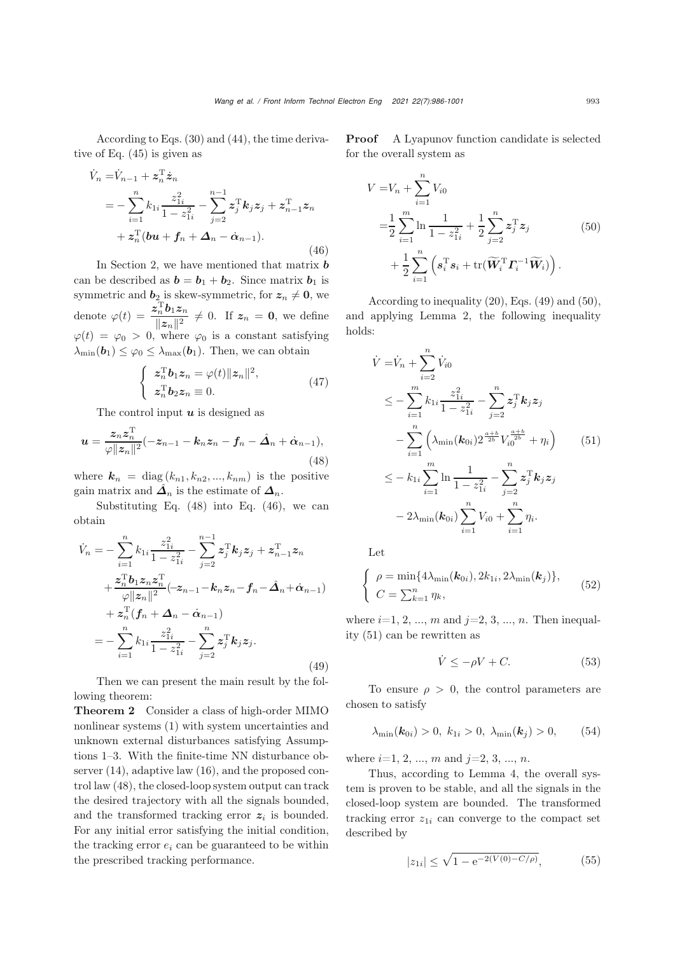According to Eqs. [\(30\)](#page-5-2) and [\(44\)](#page-6-11), the time derivative of Eq. (45) is given as

<span id="page-7-1"></span>
$$
\dot{V}_n = \dot{V}_{n-1} + z_n^{\mathrm{T}} \dot{z}_n \n= - \sum_{i=1}^n k_{1i} \frac{z_{1i}^2}{1 - z_{1i}^2} - \sum_{j=2}^{n-1} z_j^{\mathrm{T}} k_j z_j + z_{n-1}^{\mathrm{T}} z_n \n+ z_n^{\mathrm{T}} (b\mathbf{u} + f_n + \Delta_n - \dot{\alpha}_{n-1}).
$$
\n(46)

In Section [2,](#page-2-1) we have mentioned that matrix *b* can be described as  $\mathbf{b} = \mathbf{b}_1 + \mathbf{b}_2$ . Since matrix  $\mathbf{b}_1$  is symmetric and  $\mathbf{b}_2$  is skew-symmetric, for  $\mathbf{z}_n \neq \mathbf{0}$ , we denote  $\varphi(t) = \frac{\bar{z}_n^{\mathrm{T}} b_1 z_n}{\Vert z_n \Vert^2} \neq 0$ . If  $z_n = 0$ , we define  $\varphi(t) = \varphi_0 > 0$ , where  $\varphi_0$  is a constant satisfying  $\lambda_{\min}(\boldsymbol{b}_1) \leq \varphi_0 \leq \lambda_{\max}(\boldsymbol{b}_1)$ . Then, we can obtain

<span id="page-7-2"></span>
$$
\begin{cases}\n\boldsymbol{z}_n^{\mathrm{T}} \boldsymbol{b}_1 \boldsymbol{z}_n = \varphi(t) ||\boldsymbol{z}_n||^2, \\
\boldsymbol{z}_n^{\mathrm{T}} \boldsymbol{b}_2 \boldsymbol{z}_n \equiv 0.\n\end{cases} \tag{47}
$$

The control input *u* is designed as

<span id="page-7-0"></span>
$$
\mathbf{u} = \frac{z_n z_n^{\mathrm{T}}}{\varphi ||z_n||^2} (-z_{n-1} - k_n z_n - f_n - \hat{\mathbf{\Delta}}_n + \dot{\alpha}_{n-1}),
$$
\n(48)

where  $\mathbf{k}_n = \text{diag}(k_{n1}, k_{n2}, ..., k_{nm})$  is the positive gain matrix and  $\hat{\mathbf{\Delta}}_n$  is the estimate of  $\mathbf{\Delta}_n$ .

Substituting Eq. [\(48\)](#page-7-0) into Eq. [\(46\)](#page-7-1), we can obtain

$$
\dot{V}_n = -\sum_{i=1}^n k_{1i} \frac{z_{1i}^2}{1 - z_{1i}^2} - \sum_{j=2}^{n-1} z_j^{\mathrm{T}} k_j z_j + z_{n-1}^{\mathrm{T}} z_n \n+ \frac{z_n^{\mathrm{T}} b_1 z_n z_n^{\mathrm{T}}}{\varphi ||z_n||^2} (-z_{n-1} - k_n z_n - f_n - \hat{\Delta}_n + \hat{\alpha}_{n-1}) \n+ z_n^{\mathrm{T}} (f_n + \hat{\Delta}_n - \hat{\alpha}_{n-1}) \n= - \sum_{i=1}^n k_{1i} \frac{z_{1i}^2}{1 - z_{1i}^2} - \sum_{j=2}^n z_j^{\mathrm{T}} k_j z_j.
$$
\n(49)

Then we can present the main result by the following theorem:

Theorem 2 Consider a class of high-order MIMO nonlinear systems [\(1\)](#page-2-0) with system uncertainties and unknown external disturbances satisfying Assumptions 1–3. With the finite-time NN disturbance observer [\(14\)](#page-4-0), adaptive law [\(16\)](#page-4-1), and the proposed control law [\(48\)](#page-7-0), the closed-loop system output can track the desired trajectory with all the signals bounded, and the transformed tracking error  $z_i$  is bounded. For any initial error satisfying the initial condition, the tracking error  $e_i$  can be guaranteed to be within the prescribed tracking performance.

Proof A Lyapunov function candidate is selected for the overall system as

$$
V = V_n + \sum_{i=1}^{n} V_{i0}
$$
  
=  $\frac{1}{2} \sum_{i=1}^{m} \ln \frac{1}{1 - z_{1i}^2} + \frac{1}{2} \sum_{j=2}^{n} z_j^T z_j$  (50)  
+  $\frac{1}{2} \sum_{i=1}^{n} \left( s_i^T s_i + \text{tr}(\widetilde{\mathbf{W}}_i^T \mathbf{\Gamma}_i^{-1} \widetilde{\mathbf{W}}_i) \right).$ 

According to inequality (20), Eqs. (49) and (50), and applying Lemma 2, the following inequality holds:

$$
\dot{V} = \dot{V}_n + \sum_{i=2}^n \dot{V}_{i0}
$$
\n
$$
\leq -\sum_{i=1}^m k_{1i} \frac{z_{1i}^2}{1 - z_{1i}^2} - \sum_{j=2}^n z_j^T k_j z_j
$$
\n
$$
-\sum_{i=1}^n \left(\lambda_{\min}(\mathbf{k}_{0i}) 2^{\frac{a+b}{2b}} V_{i0}^{\frac{a+b}{2b}} + \eta_i\right) \qquad (51)
$$
\n
$$
\leq -k_{1i} \sum_{i=1}^m \ln \frac{1}{1 - z_{1i}^2} - \sum_{j=2}^n z_j^T k_j z_j
$$
\n
$$
-2\lambda_{\min}(\mathbf{k}_{0i}) \sum_{i=1}^n V_{i0} + \sum_{i=1}^n \eta_i.
$$

Let

$$
\begin{cases}\n\rho = \min\{4\lambda_{\min}(\mathbf{k}_{0i}), 2k_{1i}, 2\lambda_{\min}(\mathbf{k}_j)\},\\
C = \sum_{k=1}^n \eta_k,\n\end{cases} \tag{52}
$$

where  $i=1, 2, ..., m$  and  $j=2, 3, ..., n$ . Then inequality (51) can be rewritten as

$$
\dot{V} \le -\rho V + C.\tag{53}
$$

To ensure  $\rho > 0$ , the control parameters are chosen to satisfy

$$
\lambda_{\min}(\mathbf{k}_{0i}) > 0, \ k_{1i} > 0, \ \lambda_{\min}(\mathbf{k}_j) > 0, \tag{54}
$$

where  $i=1, 2, ..., m$  and  $j=2, 3, ..., n$ .

Thus, according to Lemma 4, the overall system is proven to be stable, and all the signals in the closed-loop system are bounded. The transformed tracking error  $z_{1i}$  can converge to the compact set described by

$$
|z_{1i}| \le \sqrt{1 - e^{-2(V(0) - C/\rho)}}, \tag{55}
$$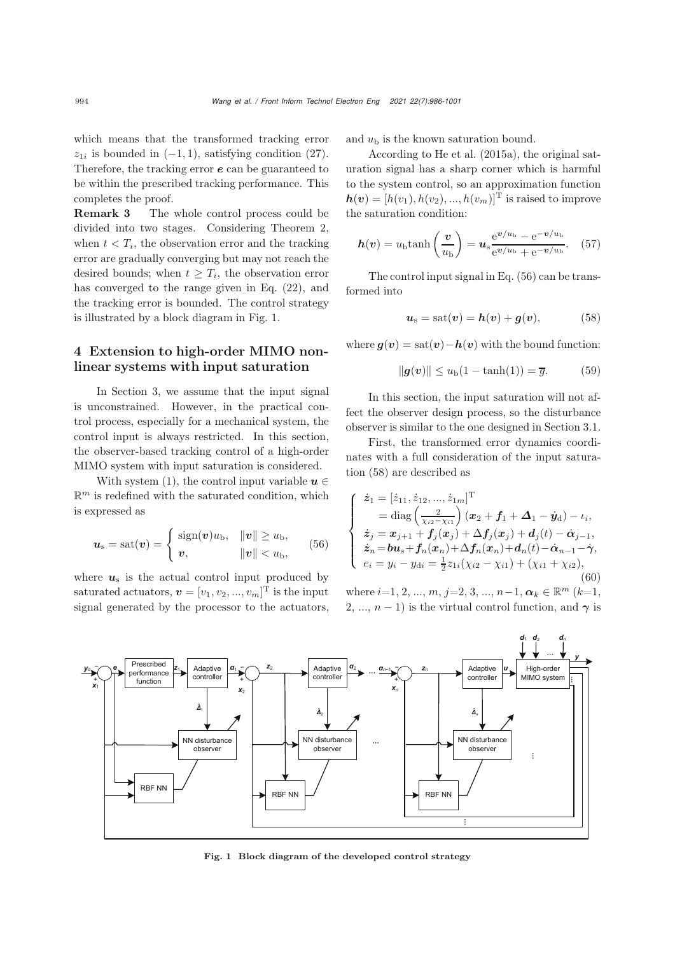which means that the transformed tracking error  $z_{1i}$  is bounded in  $(-1, 1)$ , satisfying condition [\(27\)](#page-5-4). Therefore, the tracking error *e* can be guaranteed to be within the prescribed tracking performance. This completes the proof.

Remark 3 The whole control process could be divided into two stages. Considering Theorem 2, when  $t < T<sub>i</sub>$ , the observation error and the tracking error are gradually converging but may not reach the desired bounds; when  $t \geq T_i$ , the observation error has converged to the range given in Eq. [\(22\)](#page-5-5), and the tracking error is bounded. The control strategy is illustrated by a block diagram in Fig. [1.](#page-8-0)

# 4 Extension to high-order MIMO nonlinear systems with input saturation

In Section [3,](#page-3-3) we assume that the input signal is unconstrained. However, in the practical control process, especially for a mechanical system, the control input is always restricted. In this section, the observer-based tracking control of a high-order MIMO system with input saturation is considered.

With system [\(1\)](#page-2-0), the control input variable  $u \in$  $\mathbb{R}^m$  is redefined with the saturated condition, which is expressed as

<span id="page-8-1"></span>
$$
\boldsymbol{u}_{\rm s} = \text{sat}(\boldsymbol{v}) = \begin{cases} \text{sign}(\boldsymbol{v})u_{\rm b}, & \|\boldsymbol{v}\| \ge u_{\rm b}, \\ \boldsymbol{v}, & \|\boldsymbol{v}\| < u_{\rm b}, \end{cases}
$$
(56)

where  $u_s$  is the actual control input produced by saturated actuators,  $\boldsymbol{v} = [v_1, v_2, ..., v_m]^{\text{T}}$  is the input signal generated by the processor to the actuators, and  $u<sub>b</sub>$  is the known saturation bound.

According to [He et al.](#page-13-8) [\(2015a](#page-13-8)), the original saturation signal has a sharp corner which is harmful to the system control, so an approximation function  $h(\boldsymbol{v})=[h(v_1), h(v_2), ..., h(v_m)]^{\mathrm{T}}$  is raised to improve the saturation condition:

$$
h(v) = u_{\rm b} \tanh\left(\frac{v}{u_{\rm b}}\right) = u_{\rm s} \frac{e^{v/u_{\rm b}} - e^{-v/u_{\rm b}}}{e^{v/u_{\rm b}} + e^{-v/u_{\rm b}}}.
$$
 (57)

The control input signal in Eq. [\(56\)](#page-8-1) can be transformed into

<span id="page-8-2"></span>
$$
u_{\rm s} = \text{sat}(v) = h(v) + g(v), \tag{58}
$$

where  $g(v) = \text{sat}(v) - h(v)$  with the bound function:

$$
\|g(v)\| \le u_{\text{b}}(1 - \tanh(1)) = \overline{g}.\tag{59}
$$

In this section, the input saturation will not affect the observer design process, so the disturbance observer is similar to the one designed in Section [3.1.](#page-3-2)

First, the transformed error dynamics coordinates with a full consideration of the input saturation [\(58\)](#page-8-2) are described as

<span id="page-8-3"></span>
$$
\begin{cases}\n\dot{z}_1 = [\dot{z}_{11}, \dot{z}_{12}, ..., \dot{z}_{1m}]^{\mathrm{T}} \\
= \mathrm{diag}\left(\frac{2}{\chi_{i2} - \chi_{i1}}\right) (x_2 + f_1 + \Delta_1 - \dot{y}_d) - \iota_i, \\
\dot{z}_j = x_{j+1} + f_j(x_j) + \Delta f_j(x_j) + d_j(t) - \dot{\alpha}_{j-1}, \\
\dot{z}_n = \mathbf{b}\mathbf{u}_s + f_n(x_n) + \Delta f_n(x_n) + d_n(t) - \dot{\alpha}_{n-1} - \dot{\gamma}, \\
e_i = y_i - y_{di} = \frac{1}{2}z_{1i}(\chi_{i2} - \chi_{i1}) + (\chi_{i1} + \chi_{i2}),\n\end{cases} \tag{60}
$$

where  $i=1, 2, ..., m, j=2, 3, ..., n-1, \alpha_k \in \mathbb{R}^m$   $(k=1,$ 2, ...,  $n-1$ ) is the virtual control function, and  $\gamma$  is



<span id="page-8-0"></span>Fig. 1 Block diagram of the developed control strategy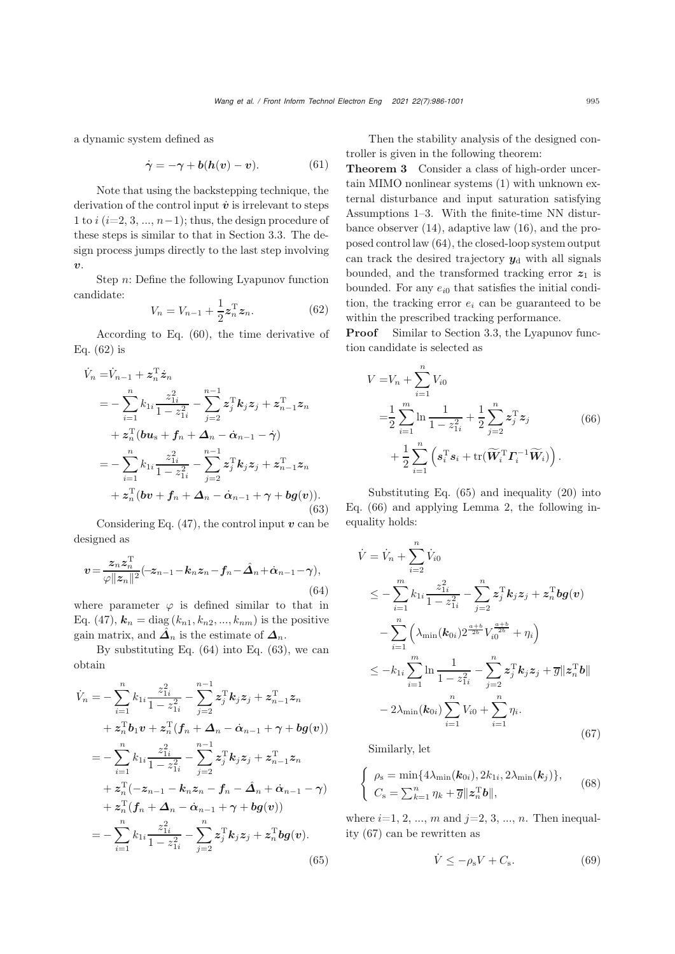a dynamic system defined as

$$
\dot{\gamma} = -\gamma + b(h(v) - v). \tag{61}
$$

Note that using the backstepping technique, the derivation of the control input  $\dot{v}$  is irrelevant to steps 1 to  $i$  ( $i=2, 3, ..., n-1$ ); thus, the design procedure of these steps is similar to that in Section [3.3.](#page-5-6) The design process jumps directly to the last step involving *v*.

Step n: Define the following Lyapunov function candidate:

<span id="page-9-0"></span>
$$
V_n = V_{n-1} + \frac{1}{2} \mathbf{z}_n^{\mathrm{T}} \mathbf{z}_n.
$$
 (62)

According to Eq. [\(60\)](#page-8-3), the time derivative of Eq. [\(62\)](#page-9-0) is

<span id="page-9-2"></span>
$$
\dot{V}_n = \dot{V}_{n-1} + z_n^{\mathrm{T}} \dot{z}_n \n= - \sum_{i=1}^n k_{1i} \frac{z_{1i}^2}{1 - z_{1i}^2} - \sum_{j=2}^{n-1} z_j^{\mathrm{T}} k_j z_j + z_{n-1}^{\mathrm{T}} z_n \n+ z_n^{\mathrm{T}} (b u_s + f_n + \Delta_n - \dot{\alpha}_{n-1} - \dot{\gamma}) \n= - \sum_{i=1}^n k_{1i} \frac{z_{1i}^2}{1 - z_{1i}^2} - \sum_{j=2}^{n-1} z_j^{\mathrm{T}} k_j z_j + z_{n-1}^{\mathrm{T}} z_n \n+ z_n^{\mathrm{T}} (b v + f_n + \Delta_n - \dot{\alpha}_{n-1} + \gamma + b g(v)).
$$
\n(63)

Considering Eq.  $(47)$ , the control input  $v$  can be designed as

<span id="page-9-1"></span>
$$
\boldsymbol{v} = \frac{\boldsymbol{z}_n \boldsymbol{z}_n^{\mathrm{T}}}{\varphi ||\boldsymbol{z}_n||^2} (-\boldsymbol{z}_{n-1} - \boldsymbol{k}_n \boldsymbol{z}_n - \boldsymbol{f}_n - \hat{\boldsymbol{\Delta}}_n + \dot{\boldsymbol{\alpha}}_{n-1} - \boldsymbol{\gamma}),
$$
\n(64)

where parameter  $\varphi$  is defined similar to that in Eq. [\(47\)](#page-7-2),  $k_n = \text{diag}(k_{n1}, k_{n2}, ..., k_{nm})$  is the positive gain matrix, and  $\hat{\mathbf{\Delta}}_n$  is the estimate of  $\mathbf{\Delta}_n$ .

By substituting Eq. [\(64\)](#page-9-1) into Eq. [\(63\)](#page-9-2), we can obtain

<span id="page-9-3"></span>
$$
\dot{V}_n = -\sum_{i=1}^n k_{1i} \frac{z_{1i}^2}{1 - z_{1i}^2} - \sum_{j=2}^{n-1} z_j^{\mathrm{T}} k_j z_j + z_{n-1}^{\mathrm{T}} z_n \n+ z_n^{\mathrm{T}} b_1 v + z_n^{\mathrm{T}} (f_n + \Delta_n - \dot{\alpha}_{n-1} + \gamma + b g(v)) \n= -\sum_{i=1}^n k_{1i} \frac{z_{1i}^2}{1 - z_{1i}^2} - \sum_{j=2}^{n-1} z_j^{\mathrm{T}} k_j z_j + z_{n-1}^{\mathrm{T}} z_n \n+ z_n^{\mathrm{T}} (-z_{n-1} - k_n z_n - f_n - \hat{\Delta}_n + \dot{\alpha}_{n-1} - \gamma) \n+ z_n^{\mathrm{T}} (f_n + \Delta_n - \dot{\alpha}_{n-1} + \gamma + b g(v)) \n= -\sum_{i=1}^n k_{1i} \frac{z_{1i}^2}{1 - z_{1i}^2} - \sum_{j=2}^n z_j^{\mathrm{T}} k_j z_j + z_n^{\mathrm{T}} b g(v).
$$
\n(65)

Then the stability analysis of the designed controller is given in the following theorem:

Theorem 3 Consider a class of high-order uncertain MIMO nonlinear systems [\(1\)](#page-2-0) with unknown external disturbance and input saturation satisfying Assumptions 1–3. With the finite-time NN disturbance observer [\(14\)](#page-4-0), adaptive law [\(16\)](#page-4-1), and the proposed control law [\(64\)](#page-9-1), the closed-loop system output can track the desired trajectory  $y_d$  with all signals bounded, and the transformed tracking error  $z_1$  is bounded. For any  $e_{i0}$  that satisfies the initial condition, the tracking error  $e_i$  can be guaranteed to be within the prescribed tracking performance.

**Proof** Similar to Section [3.3,](#page-5-6) the Lyapunov function candidate is selected as

<span id="page-9-4"></span>
$$
V = V_n + \sum_{i=1}^{n} V_{i0}
$$
  
=  $\frac{1}{2} \sum_{i=1}^{m} \ln \frac{1}{1 - z_{1i}^2} + \frac{1}{2} \sum_{j=2}^{n} z_j^T z_j$  (66)  
+  $\frac{1}{2} \sum_{i=1}^{n} \left( s_i^T s_i + \text{tr}(\widetilde{W}_i^T \Gamma_i^{-1} \widetilde{W}_i) \right).$ 

Substituting Eq. [\(65\)](#page-9-3) and inequality [\(20\)](#page-4-6) into Eq. [\(66\)](#page-9-4) and applying Lemma 2, the following inequality holds:

$$
\dot{V} = \dot{V}_n + \sum_{i=2}^n \dot{V}_{i0}
$$
\n
$$
\leq -\sum_{i=1}^m k_{1i} \frac{z_{1i}^2}{1 - z_{1i}^2} - \sum_{j=2}^n z_j^T k_j z_j + z_n^T b g(v)
$$
\n
$$
- \sum_{i=1}^n \left( \lambda_{\min}(\mathbf{k}_{0i}) 2^{\frac{a+b}{2b}} V_{i0}^{\frac{a+b}{2b}} + \eta_i \right)
$$
\n
$$
\leq -k_{1i} \sum_{i=1}^m \ln \frac{1}{1 - z_{1i}^2} - \sum_{j=2}^n z_j^T k_j z_j + \overline{g} || z_n^T b ||
$$
\n
$$
- 2\lambda_{\min}(\mathbf{k}_{0i}) \sum_{i=1}^n V_{i0} + \sum_{i=1}^n \eta_i.
$$
\n(67)

Similarly, let

$$
\begin{cases} \n\rho_{\rm s} = \min\{4\lambda_{\rm min}(\boldsymbol{k}_{0i}), 2k_{1i}, 2\lambda_{\rm min}(\boldsymbol{k}_j)\},\\ \nC_{\rm s} = \sum_{k=1}^{n} \eta_k + \overline{g} ||\boldsymbol{z}_n^{\rm T} \boldsymbol{b}||, \n\end{cases} \tag{68}
$$

where  $i=1, 2, ..., m$  and  $j=2, 3, ..., n$ . Then inequality (67) can be rewritten as

<span id="page-9-5"></span>
$$
\dot{V} \le -\rho_{\rm s} V + C_{\rm s}.\tag{69}
$$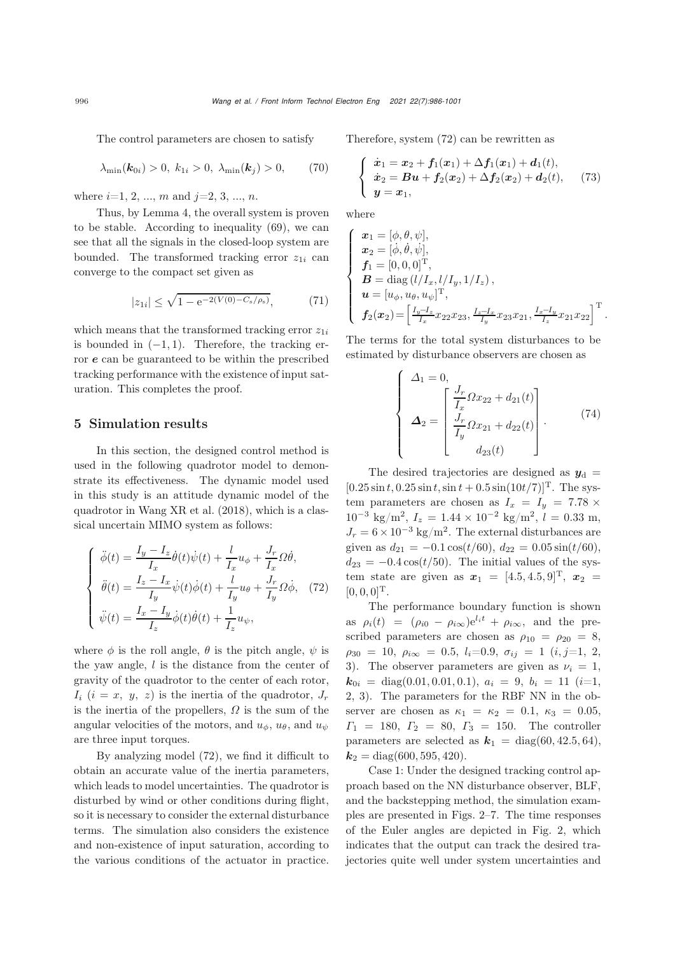The control parameters are chosen to satisfy

$$
\lambda_{\min}(\mathbf{k}_{0i}) > 0, k_{1i} > 0, \lambda_{\min}(\mathbf{k}_j) > 0,
$$
 (70)

where  $i=1, 2, ..., m$  and  $j=2, 3, ..., n$ .

Thus, by Lemma 4, the overall system is proven to be stable. According to inequality [\(69\)](#page-9-5), we can see that all the signals in the closed-loop system are bounded. The transformed tracking error  $z_{1i}$  can converge to the compact set given as

$$
|z_{1i}| \le \sqrt{1 - e^{-2(V(0) - C_s/\rho_s)}}, \tag{71}
$$

which means that the transformed tracking error  $z_{1i}$ is bounded in  $(-1, 1)$ . Therefore, the tracking error *e* can be guaranteed to be within the prescribed tracking performance with the existence of input saturation. This completes the proof.

## 5 Simulation results

In this section, the designed control method is used in the following quadrotor model to demonstrate its effectiveness. The dynamic model used in this study is an attitude dynamic model of the quadrotor in [Wang XR et al.](#page-14-26) [\(2018\)](#page-14-26), which is a classical uncertain MIMO system as follows:

<span id="page-10-0"></span>
$$
\begin{cases}\n\ddot{\phi}(t) = \frac{I_y - I_z}{I_x} \dot{\theta}(t) \dot{\psi}(t) + \frac{l}{I_x} u_\phi + \frac{J_r}{I_x} \Omega \dot{\theta}, \\
\ddot{\theta}(t) = \frac{I_z - I_x}{I_y} \dot{\psi}(t) \dot{\phi}(t) + \frac{l}{I_y} u_\theta + \frac{J_r}{I_y} \Omega \dot{\phi}, \quad (72) \\
\ddot{\psi}(t) = \frac{I_x - I_y}{I_z} \dot{\phi}(t) \dot{\theta}(t) + \frac{1}{I_z} u_\psi,\n\end{cases}
$$

where  $\phi$  is the roll angle,  $\theta$  is the pitch angle,  $\psi$  is the yaw angle, l is the distance from the center of gravity of the quadrotor to the center of each rotor,  $I_i$   $(i = x, y, z)$  is the inertia of the quadrotor,  $J_r$ is the inertia of the propellers,  $\Omega$  is the sum of the angular velocities of the motors, and  $u_{\phi}$ ,  $u_{\theta}$ , and  $u_{\psi}$ are three input torques.

By analyzing model [\(72\)](#page-10-0), we find it difficult to obtain an accurate value of the inertia parameters, which leads to model uncertainties. The quadrotor is disturbed by wind or other conditions during flight, so it is necessary to consider the external disturbance terms. The simulation also considers the existence and non-existence of input saturation, according to the various conditions of the actuator in practice.

Therefore, system [\(72\)](#page-10-0) can be rewritten as

$$
\begin{cases}\n\dot{x}_1 = x_2 + f_1(x_1) + \Delta f_1(x_1) + d_1(t), \\
\dot{x}_2 = Bu + f_2(x_2) + \Delta f_2(x_2) + d_2(t), \\
y = x_1,\n\end{cases} (73)
$$

where

$$
\begin{cases}\n\boldsymbol{x}_1 = [\phi, \theta, \psi], \\
\boldsymbol{x}_2 = [\dot{\phi}, \dot{\theta}, \dot{\psi}], \\
\boldsymbol{f}_1 = [0, 0, 0]^{\mathrm{T}}, \\
\boldsymbol{B} = \text{diag} (l/I_x, l/I_y, 1/I_z), \\
\boldsymbol{u} = [u_{\phi}, u_{\theta}, u_{\psi}]^{\mathrm{T}}, \\
\boldsymbol{f}_2(\boldsymbol{x}_2) = \left[\frac{I_y - I_z}{I_x} x_{22} x_{23}, \frac{I_z - I_x}{I_y} x_{23} x_{21}, \frac{I_x - I_y}{I_z} x_{21} x_{22}\right]^{\mathrm{T}}.\n\end{cases}
$$

The terms for the total system disturbances to be estimated by disturbance observers are chosen as

$$
\begin{cases}\n\Delta_1 = 0, \\
\Delta_2 = \begin{bmatrix}\n\frac{J_r}{I_x} \Omega x_{22} + d_{21}(t) \\
\frac{J_r}{I_y} \Omega x_{21} + d_{22}(t) \\
d_{23}(t)\n\end{bmatrix}.\n\end{cases} (74)
$$

The desired trajectories are designed as  $y_d$  =  $[0.25 \sin t, 0.25 \sin t, \sin t + 0.5 \sin(10t/7)]^{\mathrm{T}}$ . The system parameters are chosen as  $I_x = I_y = 7.78 \times$  $10^{-3}$  kg/m<sup>2</sup>,  $I_z = 1.44 \times 10^{-2}$  kg/m<sup>2</sup>,  $l = 0.33$  m,  $J_r = 6 \times 10^{-3}$  kg/m<sup>2</sup>. The external disturbances are given as  $d_{21} = -0.1 \cos(t/60), d_{22} = 0.05 \sin(t/60),$  $d_{23} = -0.4 \cos(t/50)$ . The initial values of the system state are given as  $x_1 = [4.5, 4.5, 9]^T$ ,  $x_2 =$  $[0, 0, 0]^{T}$ .

The performance boundary function is shown as  $\rho_i(t) = (\rho_{i0} - \rho_{i\infty})e^{l_i t} + \rho_{i\infty}$ , and the prescribed parameters are chosen as  $\rho_{10} = \rho_{20} = 8$ ,  $\rho_{30} = 10, \ \rho_{i\infty} = 0.5, \ l_i=0.9, \ \sigma_{ij} = 1 \ (i, j=1, 2, ...)$ 3). The observer parameters are given as  $\nu_i = 1$ ,  $\mathbf{k}_{0i} = \text{diag}(0.01, 0.01, 0.1), \ a_i = 9, \ b_i = 11 \ (i=1,$ 2, 3). The parameters for the RBF NN in the observer are chosen as  $\kappa_1 = \kappa_2 = 0.1, \kappa_3 = 0.05$ ,  $\Gamma_1 = 180, \Gamma_2 = 80, \Gamma_3 = 150.$  The controller parameters are selected as  $\mathbf{k}_1 = \text{diag}(60, 42.5, 64)$ ,  $k_2 = \text{diag}(600, 595, 420).$ 

Case 1: Under the designed tracking control approach based on the NN disturbance observer, BLF, and the backstepping method, the simulation examples are presented in Figs. 2–7. The time responses of the Euler angles are depicted in Fig. [2,](#page-11-0) which indicates that the output can track the desired trajectories quite well under system uncertainties and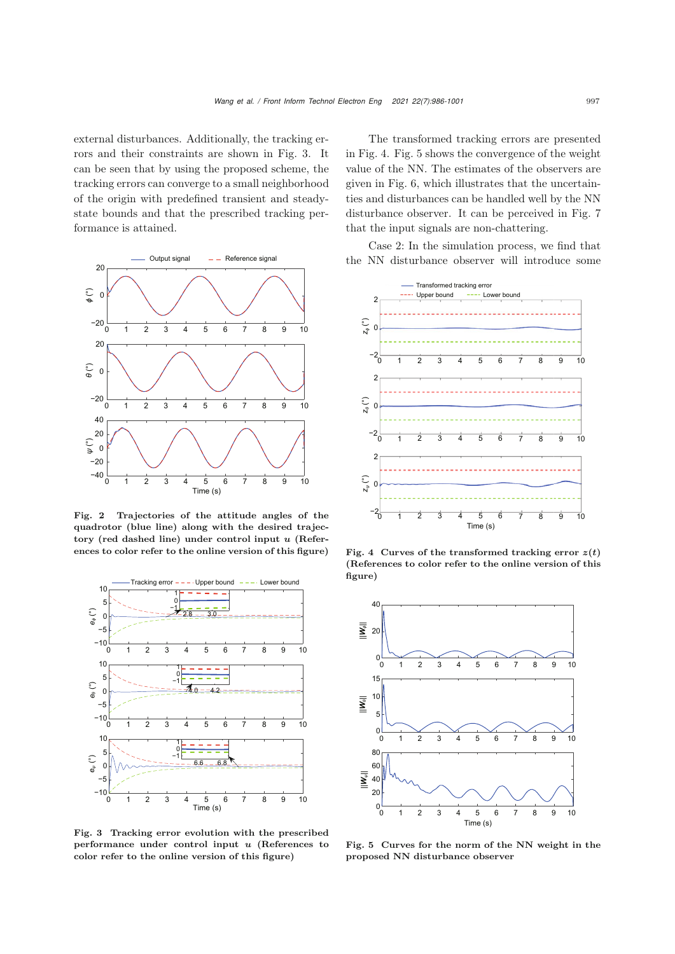external disturbances. Additionally, the tracking errors and their constraints are shown in Fig. [3.](#page-11-1) It can be seen that by using the proposed scheme, the tracking errors can converge to a small neighborhood of the origin with predefined transient and steadystate bounds and that the prescribed tracking performance is attained.



<span id="page-11-0"></span>Fig. 2 Trajectories of the attitude angles of the quadrotor (blue line) along with the desired trajectory (red dashed line) under control input *u* (References to color refer to the online version of this figure)



<span id="page-11-1"></span>Fig. 3 Tracking error evolution with the prescribed performance under control input *u* (References to color refer to the online version of this figure)

The transformed tracking errors are presented in Fig. [4.](#page-11-2) Fig. [5](#page-11-3) shows the convergence of the weight value of the NN. The estimates of the observers are given in Fig. [6,](#page-12-0) which illustrates that the uncertainties and disturbances can be handled well by the NN disturbance observer. It can be perceived in Fig. [7](#page-12-1) that the input signals are non-chattering.

Case 2: In the simulation process, we find that the NN disturbance observer will introduce some



<span id="page-11-2"></span>Fig. 4 Curves of the transformed tracking error  $z(t)$ (References to color refer to the online version of this figure)



<span id="page-11-3"></span>Fig. 5 Curves for the norm of the NN weight in the proposed NN disturbance observer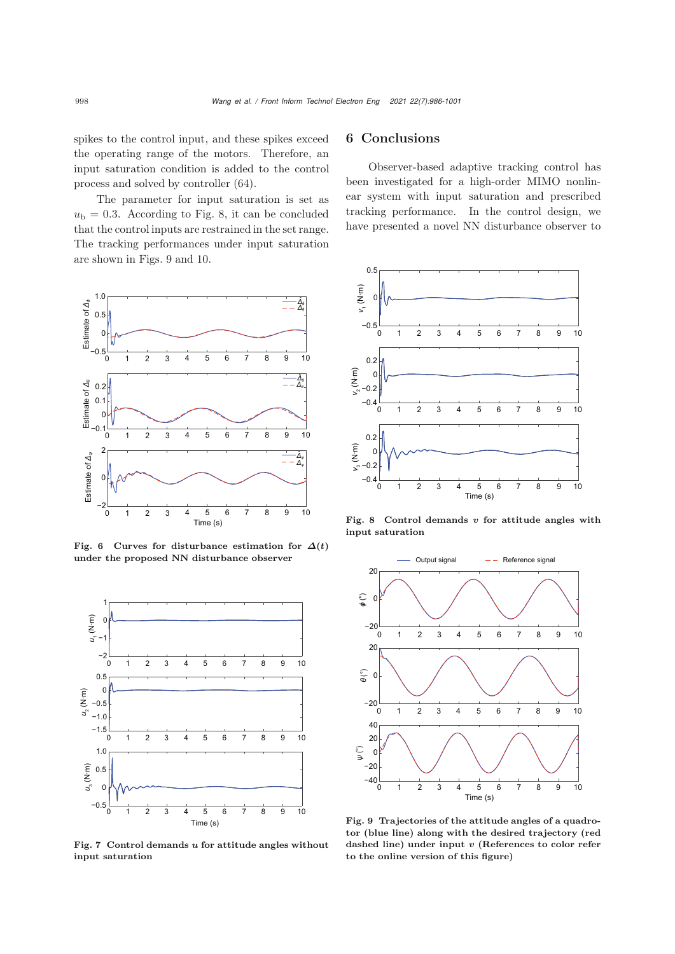spikes to the control input, and these spikes exceed the operating range of the motors. Therefore, an input saturation condition is added to the control process and solved by controller [\(64\)](#page-9-1).

The parameter for input saturation is set as  $u<sub>b</sub> = 0.3$ . According to Fig. [8,](#page-12-2) it can be concluded that the control inputs are restrained in the set range. The tracking performances under input saturation are shown in Figs. [9](#page-12-3) and [10.](#page-13-15)



<span id="page-12-0"></span>Fig. 6 Curves for disturbance estimation for  $\Delta(t)$ under the proposed NN disturbance observer



<span id="page-12-1"></span>Fig. 7 Control demands *u* for attitude angles without input saturation

# 6 Conclusions

Observer-based adaptive tracking control has been investigated for a high-order MIMO nonlinear system with input saturation and prescribed tracking performance. In the control design, we have presented a novel NN disturbance observer to



<span id="page-12-2"></span>Fig. 8 Control demands *v* for attitude angles with input saturation



<span id="page-12-3"></span>Fig. 9 Trajectories of the attitude angles of a quadrotor (blue line) along with the desired trajectory (red dashed line) under input *v* (References to color refer to the online version of this figure)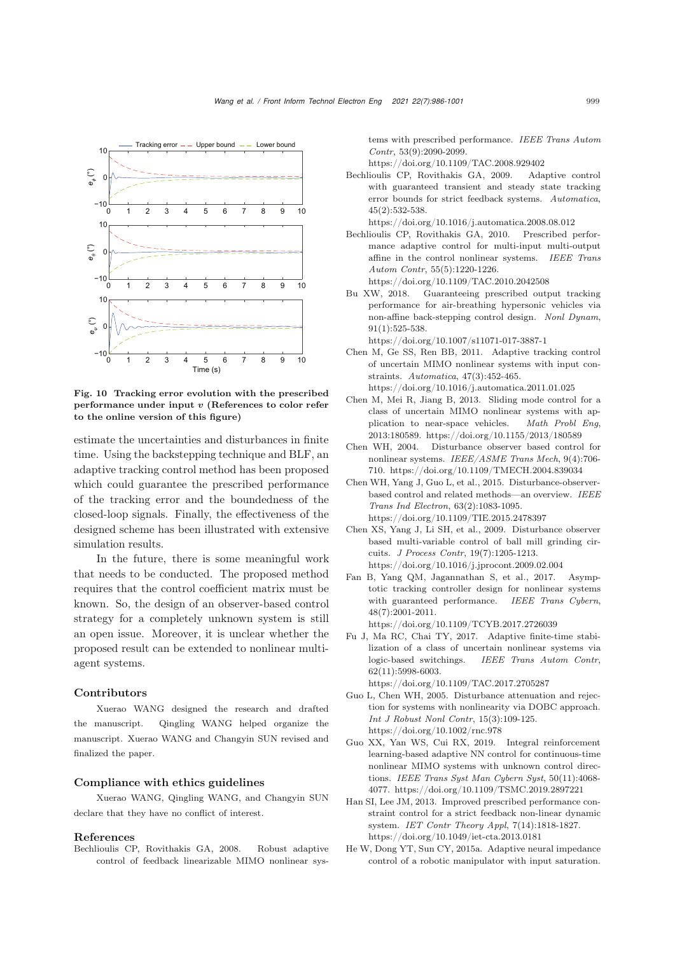

<span id="page-13-15"></span>Fig. 10 Tracking error evolution with the prescribed performance under input *v* (References to color refer to the online version of this figure)

estimate the uncertainties and disturbances in finite time. Using the backstepping technique and BLF, an adaptive tracking control method has been proposed which could guarantee the prescribed performance of the tracking error and the boundedness of the closed-loop signals. Finally, the effectiveness of the designed scheme has been illustrated with extensive simulation results.

In the future, there is some meaningful work that needs to be conducted. The proposed method requires that the control coefficient matrix must be known. So, the design of an observer-based control strategy for a completely unknown system is still an open issue. Moreover, it is unclear whether the proposed result can be extended to nonlinear multiagent systems.

#### Contributors

Xuerao WANG designed the research and drafted the manuscript. Qingling WANG helped organize the manuscript. Xuerao WANG and Changyin SUN revised and finalized the paper.

#### Compliance with ethics guidelines

Xuerao WANG, Qingling WANG, and Changyin SUN declare that they have no conflict of interest.

#### References

<span id="page-13-4"></span>Bechlioulis CP, Rovithakis GA, 2008. Robust adaptive control of feedback linearizable MIMO nonlinear systems with prescribed performance. *IEEE Trans Autom Contr*, 53(9):2090-2099.

https://doi.org/10.1109/TAC.2008.929402

<span id="page-13-5"></span>Bechlioulis CP, Rovithakis GA, 2009. Adaptive control with guaranteed transient and steady state tracking error bounds for strict feedback systems. *Automatica*, 45(2):532-538.

https://doi.org/10.1016/j.automatica.2008.08.012

- <span id="page-13-12"></span>Bechlioulis CP, Rovithakis GA, 2010. Prescribed performance adaptive control for multi-input multi-output affine in the control nonlinear systems. *IEEE Trans Autom Contr*, 55(5):1220-1226. https://doi.org/10.1109/TAC.2010.2042508
- <span id="page-13-7"></span>Bu XW, 2018. Guaranteeing prescribed output tracking performance for air-breathing hypersonic vehicles via non-affine back-stepping control design. *Nonl Dynam*, 91(1):525-538.

https://doi.org/10.1007/s11071-017-3887-1

- <span id="page-13-9"></span>Chen M, Ge SS, Ren BB, 2011. Adaptive tracking control of uncertain MIMO nonlinear systems with input constraints. *Automatica*, 47(3):452-465.
	- https://doi.org/10.1016/j.automatica.2011.01.025
- <span id="page-13-2"></span>Chen M, Mei R, Jiang B, 2013. Sliding mode control for a class of uncertain MIMO nonlinear systems with application to near-space vehicles. *Math Probl Eng*, 2013:180589. https://doi.org/10.1155/2013/180589
- <span id="page-13-13"></span>Chen WH, 2004. Disturbance observer based control for nonlinear systems. *IEEE/ASME Trans Mech*, 9(4):706- 710. https://doi.org/10.1109/TMECH.2004.839034
- <span id="page-13-1"></span>Chen WH, Yang J, Guo L, et al., 2015. Disturbance-observerbased control and related methods—an overview. *IEEE Trans Ind Electron*, 63(2):1083-1095. https://doi.org/10.1109/TIE.2015.2478397
- <span id="page-13-14"></span>Chen XS, Yang J, Li SH, et al., 2009. Disturbance observer based multi-variable control of ball mill grinding circuits. *J Process Contr*, 19(7):1205-1213. https://doi.org/10.1016/j.jprocont.2009.02.004
- <span id="page-13-11"></span>Fan B, Yang QM, Jagannathan S, et al., 2017. Asymptotic tracking controller design for nonlinear systems with guaranteed performance. *IEEE Trans Cybern*, 48(7):2001-2011.

https://doi.org/10.1109/TCYB.2017.2726039

<span id="page-13-3"></span>Fu J, Ma RC, Chai TY, 2017. Adaptive finite-time stabilization of a class of uncertain nonlinear systems via logic-based switchings. *IEEE Trans Autom Contr*, 62(11):5998-6003.

https://doi.org/10.1109/TAC.2017.2705287

- <span id="page-13-0"></span>Guo L, Chen WH, 2005. Disturbance attenuation and rejection for systems with nonlinearity via DOBC approach. *Int J Robust Nonl Contr*, 15(3):109-125. https://doi.org/10.1002/rnc.978
- <span id="page-13-10"></span>Guo XX, Yan WS, Cui RX, 2019. Integral reinforcement learning-based adaptive NN control for continuous-time nonlinear MIMO systems with unknown control directions. *IEEE Trans Syst Man Cybern Syst*, 50(11):4068- 4077. https://doi.org/10.1109/TSMC.2019.2897221
- <span id="page-13-6"></span>Han SI, Lee JM, 2013. Improved prescribed performance constraint control for a strict feedback non-linear dynamic system. *IET Contr Theory Appl*, 7(14):1818-1827. https://doi.org/10.1049/iet-cta.2013.0181
- <span id="page-13-8"></span>He W, Dong YT, Sun CY, 2015a. Adaptive neural impedance control of a robotic manipulator with input saturation.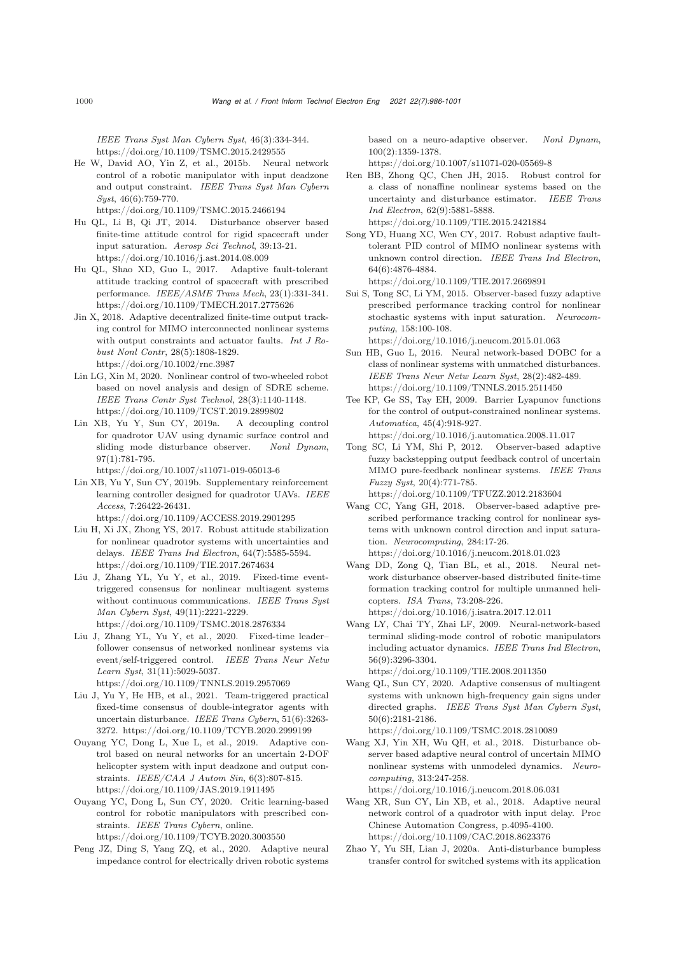*IEEE Trans Syst Man Cybern Syst*, 46(3):334-344. https://doi.org/10.1109/TSMC.2015.2429555

<span id="page-14-22"></span>He W, David AO, Yin Z, et al., 2015b. Neural network control of a robotic manipulator with input deadzone and output constraint. *IEEE Trans Syst Man Cybern Syst*, 46(6):759-770.

https://doi.org/10.1109/TSMC.2015.2466194

- <span id="page-14-16"></span>Hu QL, Li B, Qi JT, 2014. Disturbance observer based finite-time attitude control for rigid spacecraft under input saturation. *Aerosp Sci Technol*, 39:13-21. https://doi.org/10.1016/j.ast.2014.08.009
- <span id="page-14-25"></span>Hu QL, Shao XD, Guo L, 2017. Adaptive fault-tolerant attitude tracking control of spacecraft with prescribed performance. *IEEE/ASME Trans Mech*, 23(1):331-341. https://doi.org/10.1109/TMECH.2017.2775626
- <span id="page-14-7"></span>Jin X, 2018. Adaptive decentralized finite-time output tracking control for MIMO interconnected nonlinear systems with output constraints and actuator faults. *Int J Robust Nonl Contr*, 28(5):1808-1829. https://doi.org/10.1002/rnc.3987
- <span id="page-14-1"></span>Lin LG, Xin M, 2020. Nonlinear control of two-wheeled robot based on novel analysis and design of SDRE scheme. *IEEE Trans Contr Syst Technol*, 28(3):1140-1148. https://doi.org/10.1109/TCST.2019.2899802
- <span id="page-14-0"></span>Lin XB, Yu Y, Sun CY, 2019a. A decoupling control for quadrotor UAV using dynamic surface control and sliding mode disturbance observer. *Nonl Dynam*, 97(1):781-795.

https://doi.org/10.1007/s11071-019-05013-6

<span id="page-14-10"></span>Lin XB, Yu Y, Sun CY, 2019b. Supplementary reinforcement learning controller designed for quadrotor UAVs. *IEEE Access*, 7:26422-26431. https://doi.org/10.1109/ACCESS.2019.2901295

- <span id="page-14-11"></span>Liu H, Xi JX, Zhong YS, 2017. Robust attitude stabilization for nonlinear quadrotor systems with uncertainties and delays. *IEEE Trans Ind Electron*, 64(7):5585-5594. https://doi.org/10.1109/TIE.2017.2674634
- <span id="page-14-14"></span>Liu J, Zhang YL, Yu Y, et al., 2019. Fixed-time eventtriggered consensus for nonlinear multiagent systems without continuous communications. *IEEE Trans Syst Man Cybern Syst*, 49(11):2221-2229. https://doi.org/10.1109/TSMC.2018.2876334
- <span id="page-14-15"></span>Liu J, Zhang YL, Yu Y, et al., 2020. Fixed-time leader– follower consensus of networked nonlinear systems via event/self-triggered control. *IEEE Trans Neur Netw Learn Syst*, 31(11):5029-5037.

https://doi.org/10.1109/TNNLS.2019.2957069

- <span id="page-14-9"></span>Liu J, Yu Y, He HB, et al., 2021. Team-triggered practical fixed-time consensus of double-integrator agents with uncertain disturbance. *IEEE Trans Cybern*, 51(6):3263- 3272. https://doi.org/10.1109/TCYB.2020.2999199
- <span id="page-14-4"></span>Ouyang YC, Dong L, Xue L, et al., 2019. Adaptive control based on neural networks for an uncertain 2-DOF helicopter system with input deadzone and output constraints. *IEEE/CAA J Autom Sin*, 6(3):807-815. https://doi.org/10.1109/JAS.2019.1911495
- <span id="page-14-5"></span>Ouyang YC, Dong L, Sun CY, 2020. Critic learning-based control for robotic manipulators with prescribed constraints. *IEEE Trans Cybern*, online. https://doi.org/10.1109/TCYB.2020.3003550
- <span id="page-14-2"></span>Peng JZ, Ding S, Yang ZQ, et al., 2020. Adaptive neural impedance control for electrically driven robotic systems

based on a neuro-adaptive observer. *Nonl Dynam*, 100(2):1359-1378.

https://doi.org/10.1007/s11071-020-05569-8

- <span id="page-14-12"></span>Ren BB, Zhong QC, Chen JH, 2015. Robust control for a class of nonaffine nonlinear systems based on the uncertainty and disturbance estimator. *IEEE Trans Ind Electron*, 62(9):5881-5888. https://doi.org/10.1109/TIE.2015.2421884
- <span id="page-14-20"></span>Song YD, Huang XC, Wen CY, 2017. Robust adaptive faulttolerant PID control of MIMO nonlinear systems with unknown control direction. *IEEE Trans Ind Electron*, 64(6):4876-4884.

https://doi.org/10.1109/TIE.2017.2669891

<span id="page-14-18"></span>Sui S, Tong SC, Li YM, 2015. Observer-based fuzzy adaptive prescribed performance tracking control for nonlinear stochastic systems with input saturation. *Neurocomputing*, 158:100-108.

https://doi.org/10.1016/j.neucom.2015.01.063

- <span id="page-14-13"></span>Sun HB, Guo L, 2016. Neural network-based DOBC for a class of nonlinear systems with unmatched disturbances. *IEEE Trans Neur Netw Learn Syst*, 28(2):482-489. https://doi.org/10.1109/TNNLS.2015.2511450
- <span id="page-14-23"></span>Tee KP, Ge SS, Tay EH, 2009. Barrier Lyapunov functions for the control of output-constrained nonlinear systems. *Automatica*, 45(4):918-927.
- https://doi.org/10.1016/j.automatica.2008.11.017 Tong SC, Li YM, Shi P, 2012. Observer-based adaptive
- <span id="page-14-6"></span>fuzzy backstepping output feedback control of uncertain MIMO pure-feedback nonlinear systems. *IEEE Trans Fuzzy Syst*, 20(4):771-785. https://doi.org/10.1109/TFUZZ.2012.2183604
- <span id="page-14-19"></span>Wang CC, Yang GH, 2018. Observer-based adaptive prescribed performance tracking control for nonlinear systems with unknown control direction and input saturation. *Neurocomputing*, 284:17-26. https://doi.org/10.1016/j.neucom.2018.01.023
- <span id="page-14-17"></span>Wang DD, Zong Q, Tian BL, et al., 2018. Neural network disturbance observer-based distributed finite-time formation tracking control for multiple unmanned helicopters. *ISA Trans*, 73:208-226. https://doi.org/10.1016/j.isatra.2017.12.011
- <span id="page-14-21"></span>Wang LY, Chai TY, Zhai LF, 2009. Neural-network-based terminal sliding-mode control of robotic manipulators including actuator dynamics. *IEEE Trans Ind Electron*, 56(9):3296-3304. https://doi.org/10.1109/TIE.2008.2011350
- <span id="page-14-24"></span>Wang QL, Sun CY, 2020. Adaptive consensus of multiagent systems with unknown high-frequency gain signs under directed graphs. *IEEE Trans Syst Man Cybern Syst*,

50(6):2181-2186. https://doi.org/10.1109/TSMC.2018.2810089

- <span id="page-14-3"></span>Wang XJ, Yin XH, Wu QH, et al., 2018. Disturbance observer based adaptive neural control of uncertain MIMO nonlinear systems with unmodeled dynamics. *Neurocomputing*, 313:247-258. https://doi.org/10.1016/j.neucom.2018.06.031
- <span id="page-14-26"></span>Wang XR, Sun CY, Lin XB, et al., 2018. Adaptive neural network control of a quadrotor with input delay. Proc Chinese Automation Congress, p.4095-4100. https://doi.org/10.1109/CAC.2018.8623376
- <span id="page-14-8"></span>Zhao Y, Yu SH, Lian J, 2020a. Anti-disturbance bumpless transfer control for switched systems with its application